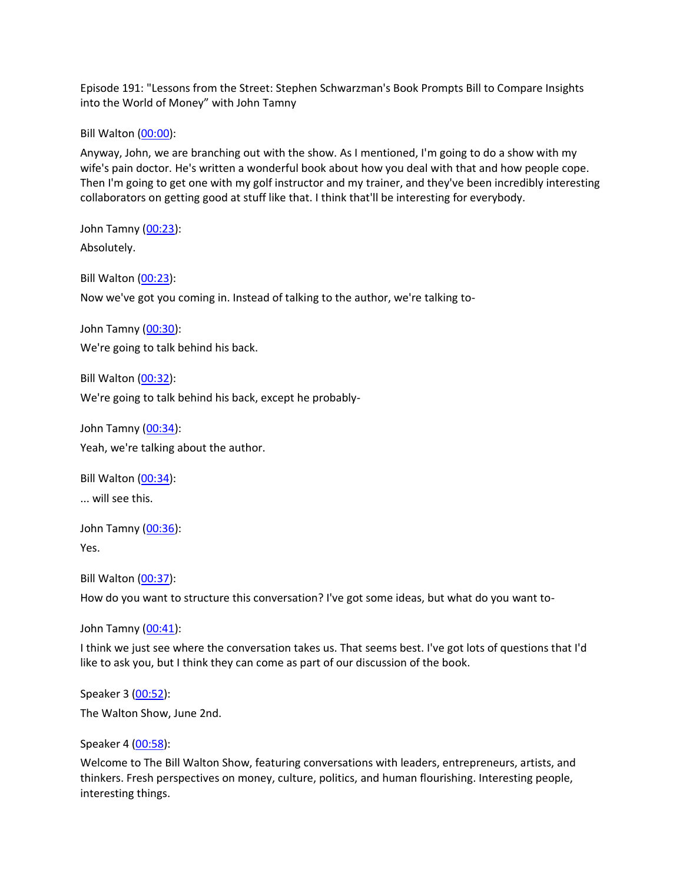Episode 191: "Lessons from the Street: Stephen Schwarzman's Book Prompts Bill to Compare Insights into the World of Money" with John Tamny

Bill Walton [\(00:00\)](https://www.rev.com/transcript-editor/Edit?token=tcvE2hh7eGISNAwdjbt6SELBTfPrW25XI61d6XaKvX9bMcEK9FuCl5yWYq0JPyT5ugmfXB5Vtz9WJDjF9Wbr1C8Xzmw&loadFrom=DocumentDeeplink&ts=0.91):

Anyway, John, we are branching out with the show. As I mentioned, I'm going to do a show with my wife's pain doctor. He's written a wonderful book about how you deal with that and how people cope. Then I'm going to get one with my golf instructor and my trainer, and they've been incredibly interesting collaborators on getting good at stuff like that. I think that'll be interesting for everybody.

John Tamny [\(00:23\)](https://www.rev.com/transcript-editor/Edit?token=3V11MA_L9dDe8d9U73wlm-WAGSuWKLHP9veCJBp8HnE1Um4qa2qmVGZxaKHyxQ8LvOc6TO6vMwgJoc52ivbmXIgI4v0&loadFrom=DocumentDeeplink&ts=23.05): Absolutely.

Bill Walton [\(00:23\)](https://www.rev.com/transcript-editor/Edit?token=X0hJXsRTzJ97T09XjR9qUt51J6l9j-IvT1ZkDTcxmprN4_yfCrh3gi-b4vC1WbhXop245HvyqcXCOVX38pFpGZRnGg4&loadFrom=DocumentDeeplink&ts=23.98):

Now we've got you coming in. Instead of talking to the author, we're talking to-

John Tamny [\(00:30\)](https://www.rev.com/transcript-editor/Edit?token=Mlw2K7BlyUenjO3OVoyss8yhvCFVIsO80b-JwDFoJWIzF-x-aQpYDGUggB-TvXPvoExTWxhZrt4Baq66vBpoLKyEuZg&loadFrom=DocumentDeeplink&ts=30.75): We're going to talk behind his back.

Bill Walton [\(00:32\)](https://www.rev.com/transcript-editor/Edit?token=9W4oAVwdwHd2Akw_J4EI5SDKuGKqCPdSWf7PIqqxrlqmfA-7_X3Ck4voCmlbH88bAOfagApBMDwOzU90cvT1P7VUnRI&loadFrom=DocumentDeeplink&ts=32.25): We're going to talk behind his back, except he probably-

John Tamny [\(00:34\)](https://www.rev.com/transcript-editor/Edit?token=PlefEaTPDKLy17ucxKCnp5rGsVmfyxGdBC3x78bfjgVgTZudrnwnrKnDRNE3QyHrbnkZBr97vCDHVLhfng2o9Ggtwg8&loadFrom=DocumentDeeplink&ts=34.7): Yeah, we're talking about the author.

Bill Walton [\(00:34\)](https://www.rev.com/transcript-editor/Edit?token=qKXVlSL9Ud_JrVWQPBtmgQp-QHl_IYQ8erbU-jEzisHZWwnNVuGYMwu_WJMbgaS7Bing8Oi1gheCI1IZMjejHDhK21U&loadFrom=DocumentDeeplink&ts=34.76):

... will see this.

John Tamny [\(00:36\)](https://www.rev.com/transcript-editor/Edit?token=iCq4j-gXq0Lv9q8WzDHDF_BGS0c02q8tPA9V8qh5Jjov-8wwMFpiRkn0ffxiBlV9Yint-TrU0NNAK0qwhnUg0Aj75Fs&loadFrom=DocumentDeeplink&ts=36.32):

Yes.

Bill Walton [\(00:37\)](https://www.rev.com/transcript-editor/Edit?token=UQH6_6t2hYgeeBQqdXmDdLM_wSMjzGP5pCEBSFzQEwNyzj7rtyYL-WsH2P-fgZlMJHDnbTBWPkyyIJIFG5bkt65LcmA&loadFrom=DocumentDeeplink&ts=37.06):

How do you want to structure this conversation? I've got some ideas, but what do you want to-

John Tamny [\(00:41\)](https://www.rev.com/transcript-editor/Edit?token=EKYEKNLXuF1Ml9CLTof6kyDCQwjwsfdzxZLpFognf789CZRgFiySO-mm-g7i4IuK56ucxM8p-2FEbw0z4i_CCuPWfAY&loadFrom=DocumentDeeplink&ts=41.93):

I think we just see where the conversation takes us. That seems best. I've got lots of questions that I'd like to ask you, but I think they can come as part of our discussion of the book.

Speaker 3 [\(00:52\)](https://www.rev.com/transcript-editor/Edit?token=M4oC20SB7dA4dtWy-TyjlVuHB56go7aXwXImbTnQJ0P9bHQseqiV78BtDS8tRxHKqixebEoT-nJC5mSZx-wP5rmKJXI&loadFrom=DocumentDeeplink&ts=52.53): The Walton Show, June 2nd.

Speaker 4 [\(00:58\)](https://www.rev.com/transcript-editor/Edit?token=BRie9tHW-g3yKvWOcCcMoxUGNlUpGQj662BUGECH2Jf7ZnKm0sLeIZ5NbnPYfB36z1PNKz_MkxK6GkFFriU6SLDbbtY&loadFrom=DocumentDeeplink&ts=58.95):

Welcome to The Bill Walton Show, featuring conversations with leaders, entrepreneurs, artists, and thinkers. Fresh perspectives on money, culture, politics, and human flourishing. Interesting people, interesting things.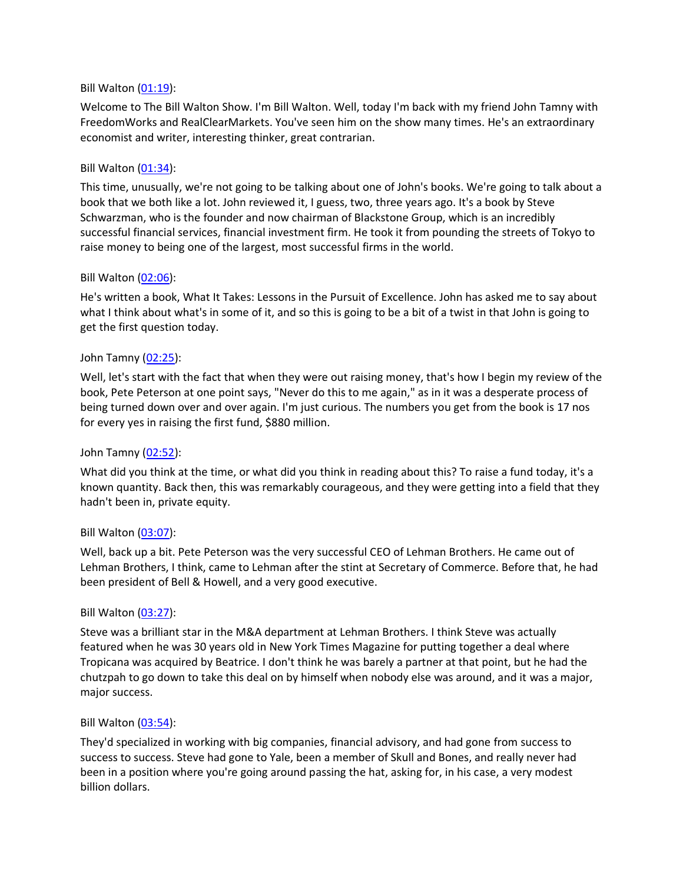### Bill Walton [\(01:19\)](https://www.rev.com/transcript-editor/Edit?token=-m85_V-II1Sx09zp9Ew6RM2l3HuNyKOB3-wHzk_GCpVRjHlUrxUtrW0AcHmbiHa_ZdkdYBHfsgc0__tG0PADQqYq3Pk&loadFrom=DocumentDeeplink&ts=79.26):

Welcome to The Bill Walton Show. I'm Bill Walton. Well, today I'm back with my friend John Tamny with FreedomWorks and RealClearMarkets. You've seen him on the show many times. He's an extraordinary economist and writer, interesting thinker, great contrarian.

### Bill Walton [\(01:34\)](https://www.rev.com/transcript-editor/Edit?token=PZ736o-cg5uMkjaC0x6D0n7Sr8pPGD-ACxPCkNJigsXjyjdx3jeWsJnMIzkej89u7_DXtCIUq8WxPpx2225GVvvElrI&loadFrom=DocumentDeeplink&ts=94.73):

This time, unusually, we're not going to be talking about one of John's books. We're going to talk about a book that we both like a lot. John reviewed it, I guess, two, three years ago. It's a book by Steve Schwarzman, who is the founder and now chairman of Blackstone Group, which is an incredibly successful financial services, financial investment firm. He took it from pounding the streets of Tokyo to raise money to being one of the largest, most successful firms in the world.

### Bill Walton [\(02:06\)](https://www.rev.com/transcript-editor/Edit?token=z3SApuadWbUfyaO1EpAoURFEw8kPuiSXVWhq7u9-B5PCz9Lf9c0pElNj5lBLaMzgqQ5yXUilNciWYYcki91Qe6pQt6Y&loadFrom=DocumentDeeplink&ts=126.61):

He's written a book, What It Takes: Lessons in the Pursuit of Excellence. John has asked me to say about what I think about what's in some of it, and so this is going to be a bit of a twist in that John is going to get the first question today.

### John Tamny [\(02:25\)](https://www.rev.com/transcript-editor/Edit?token=0tqOxVQMd1R6hd0zAyTPv2m6MaH4_WfVx1XVQfwO6bBk97ka8fZOMO_Bk3TztVCuEadwpq7p-OR2TrUEL0WI4aVAZtE&loadFrom=DocumentDeeplink&ts=145.84):

Well, let's start with the fact that when they were out raising money, that's how I begin my review of the book, Pete Peterson at one point says, "Never do this to me again," as in it was a desperate process of being turned down over and over again. I'm just curious. The numbers you get from the book is 17 nos for every yes in raising the first fund, \$880 million.

#### John Tamny [\(02:52\)](https://www.rev.com/transcript-editor/Edit?token=eVeIC0ni6PWB8DU-vycN9lk73OK6REYFjVCER3KndrH-Yy-5n05DQlkCryEMkoipimMxs4eVxwXnXPLJC61Bc-bBIXQ&loadFrom=DocumentDeeplink&ts=172.87):

What did you think at the time, or what did you think in reading about this? To raise a fund today, it's a known quantity. Back then, this was remarkably courageous, and they were getting into a field that they hadn't been in, private equity.

#### Bill Walton [\(03:07\)](https://www.rev.com/transcript-editor/Edit?token=vCzPBPelQ1R3uZmXn0xjWVfXobFPM_ugGs-X0Yy6ZIzPU_ceve0xxR3A7ZRtzF0Lwz1EmoZb2txS7r5XDo0iQ0uai8E&loadFrom=DocumentDeeplink&ts=187.3):

Well, back up a bit. Pete Peterson was the very successful CEO of Lehman Brothers. He came out of Lehman Brothers, I think, came to Lehman after the stint at Secretary of Commerce. Before that, he had been president of Bell & Howell, and a very good executive.

#### Bill Walton [\(03:27\)](https://www.rev.com/transcript-editor/Edit?token=IyBRohTorqCQcSZbM-S6U88bun0sl6gDVCFw_gxwrAlk7sfzr2lHo8hJrj0TrfR_-myUU-HpAmI3BnEiPirvUady42M&loadFrom=DocumentDeeplink&ts=207.9):

Steve was a brilliant star in the M&A department at Lehman Brothers. I think Steve was actually featured when he was 30 years old in New York Times Magazine for putting together a deal where Tropicana was acquired by Beatrice. I don't think he was barely a partner at that point, but he had the chutzpah to go down to take this deal on by himself when nobody else was around, and it was a major, major success.

#### Bill Walton [\(03:54\)](https://www.rev.com/transcript-editor/Edit?token=1OCBneZVfQ1nyMwsAiUB7eE7BGcrETTlX1A2g_DZmlJQWVcOKm4bnR2hEYvvw_dHN9qTzrGAXx7O6x2j7xbheIhMSrg&loadFrom=DocumentDeeplink&ts=234.82):

They'd specialized in working with big companies, financial advisory, and had gone from success to success to success. Steve had gone to Yale, been a member of Skull and Bones, and really never had been in a position where you're going around passing the hat, asking for, in his case, a very modest billion dollars.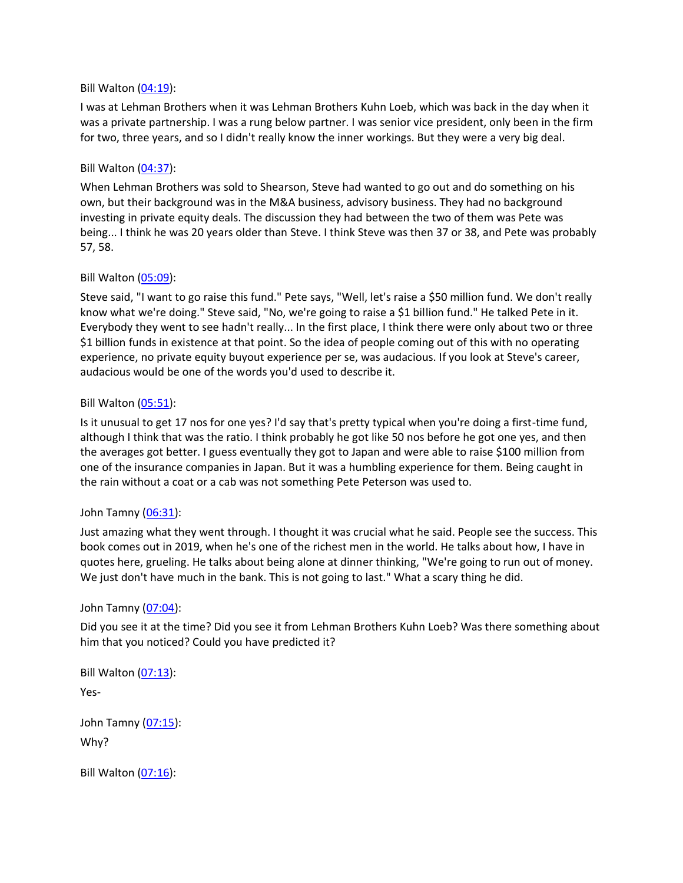### Bill Walton [\(04:19\)](https://www.rev.com/transcript-editor/Edit?token=8jayW-93svGWcjhUT5aXyXaTqYmdqA_Uh5zVo3rwO3ic6Dv6RlvGg0Ao5FiwQuE_r8XQCqikkb1n57WnWRwkAyBL9G8&loadFrom=DocumentDeeplink&ts=259.16):

I was at Lehman Brothers when it was Lehman Brothers Kuhn Loeb, which was back in the day when it was a private partnership. I was a rung below partner. I was senior vice president, only been in the firm for two, three years, and so I didn't really know the inner workings. But they were a very big deal.

### Bill Walton [\(04:37\)](https://www.rev.com/transcript-editor/Edit?token=hX7QgxNR2q2MYcEokRZr0P13uQ08IlPESF21Zz0CXtJ-x38Kh75-cA6nwxzJ994WxdSWCyH7jqadFUsEBhAfi0KWr1Q&loadFrom=DocumentDeeplink&ts=277.48):

When Lehman Brothers was sold to Shearson, Steve had wanted to go out and do something on his own, but their background was in the M&A business, advisory business. They had no background investing in private equity deals. The discussion they had between the two of them was Pete was being... I think he was 20 years older than Steve. I think Steve was then 37 or 38, and Pete was probably 57, 58.

### Bill Walton [\(05:09\)](https://www.rev.com/transcript-editor/Edit?token=_uxiDOQL0CUg6oHN0R9iCNzTnt9R-3ajtzv08ELuxRzIhPClnMTD672eOXqsuY8eVeWAuVvaVganwQKoTUlM1zZ6efE&loadFrom=DocumentDeeplink&ts=309.81):

Steve said, "I want to go raise this fund." Pete says, "Well, let's raise a \$50 million fund. We don't really know what we're doing." Steve said, "No, we're going to raise a \$1 billion fund." He talked Pete in it. Everybody they went to see hadn't really... In the first place, I think there were only about two or three \$1 billion funds in existence at that point. So the idea of people coming out of this with no operating experience, no private equity buyout experience per se, was audacious. If you look at Steve's career, audacious would be one of the words you'd used to describe it.

### Bill Walton [\(05:51\)](https://www.rev.com/transcript-editor/Edit?token=jyrk_zJABj06DA9ofaDO314WDm0M_W_Pq138IE8qM4z0kULZFtO7UZBjW_JRKxMvel--V43Oge_mtQkh0BlYZi2otP4&loadFrom=DocumentDeeplink&ts=351.78):

Is it unusual to get 17 nos for one yes? I'd say that's pretty typical when you're doing a first-time fund, although I think that was the ratio. I think probably he got like 50 nos before he got one yes, and then the averages got better. I guess eventually they got to Japan and were able to raise \$100 million from one of the insurance companies in Japan. But it was a humbling experience for them. Being caught in the rain without a coat or a cab was not something Pete Peterson was used to.

## John Tamny [\(06:31\)](https://www.rev.com/transcript-editor/Edit?token=YVVj_7yBLg_7Qi6N6r489jFEpgg_yYEgaAQ313kXPrfnU4sUSDAnn488dbVS4hi2eqLqpGqJ8tY-CTLOUBsEXwfCgW4&loadFrom=DocumentDeeplink&ts=391.53):

Just amazing what they went through. I thought it was crucial what he said. People see the success. This book comes out in 2019, when he's one of the richest men in the world. He talks about how, I have in quotes here, grueling. He talks about being alone at dinner thinking, "We're going to run out of money. We just don't have much in the bank. This is not going to last." What a scary thing he did.

## John Tamny [\(07:04\)](https://www.rev.com/transcript-editor/Edit?token=eDDc1SmlcH6501U7lCxRdpKcThXGkrK7WuSmpfK7aEMGx4ezee0I5FZF90SChjBtY8gjz7dtaGDxM9gKnsq6eT2mXug&loadFrom=DocumentDeeplink&ts=424.99):

Did you see it at the time? Did you see it from Lehman Brothers Kuhn Loeb? Was there something about him that you noticed? Could you have predicted it?

Bill Walton [\(07:13\)](https://www.rev.com/transcript-editor/Edit?token=pVPJ4_63883aEkwE31oflOz-XHtp8KBUy8btl5HMFXxMdgVyiOSlLpmGdt92h9o1fraHRAncSY6rdS8exRvP9irpyHM&loadFrom=DocumentDeeplink&ts=433.92):

Yes-

John Tamny [\(07:15\)](https://www.rev.com/transcript-editor/Edit?token=ZYGZTUOze2dVbs32h3uAN8scGRnaUlcKTR494EnvjfEZyUWaspI60uEpoEvvojBrBjNtAkRkiLdvlPxPrrDayEf14SU&loadFrom=DocumentDeeplink&ts=435.85): Why?

Bill Walton [\(07:16\)](https://www.rev.com/transcript-editor/Edit?token=Y4NtJMNlBvnPZCcM6ImCvR8qpQQxxbXvdiYbnNNeIG5ELmq4GImNRTWoVA5AfmTdqlYxWgXOHj5VTNo_DgL3eLu9IB8&loadFrom=DocumentDeeplink&ts=436.47):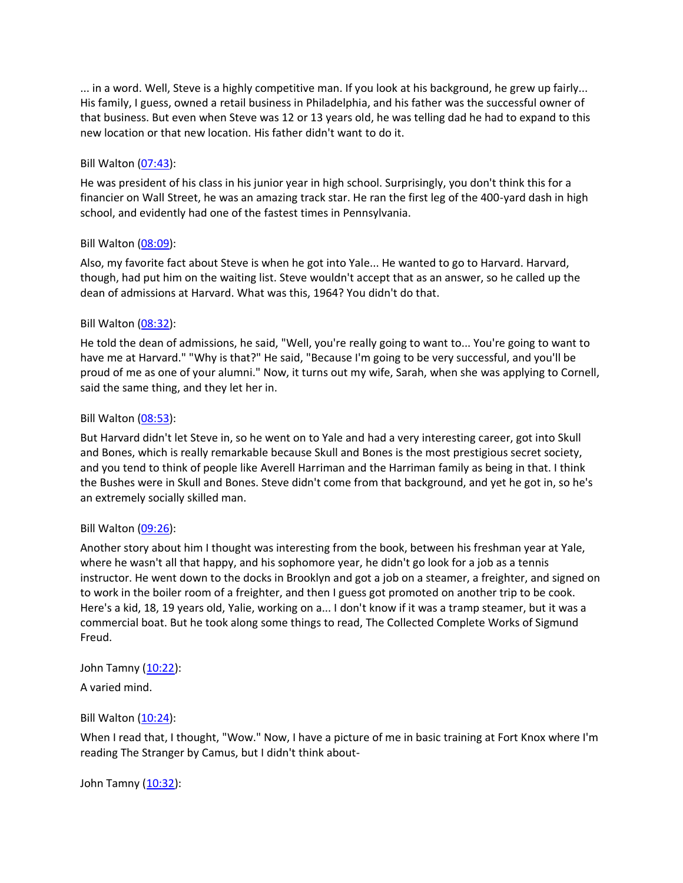... in a word. Well, Steve is a highly competitive man. If you look at his background, he grew up fairly... His family, I guess, owned a retail business in Philadelphia, and his father was the successful owner of that business. But even when Steve was 12 or 13 years old, he was telling dad he had to expand to this new location or that new location. His father didn't want to do it.

### Bill Walton [\(07:43\)](https://www.rev.com/transcript-editor/Edit?token=omej8qHkXjQNr6UXizgQ64HRQIV9Kd7HXxH3XjNuEU4ufNYvRdxl_WRgkdz8dscmc0qSE7kM_OLRuCsdznYQ5eBTiIA&loadFrom=DocumentDeeplink&ts=463.31):

He was president of his class in his junior year in high school. Surprisingly, you don't think this for a financier on Wall Street, he was an amazing track star. He ran the first leg of the 400-yard dash in high school, and evidently had one of the fastest times in Pennsylvania.

### Bill Walton [\(08:09\)](https://www.rev.com/transcript-editor/Edit?token=I1_iM0WCIvRKp76iExp8Cc-ZY18duuKrUo3OFjBJyz7Bk76PexG4TAAMQLcMz3CTahx067HG4u9CtrE5dv54MCnK-eM&loadFrom=DocumentDeeplink&ts=489.74):

Also, my favorite fact about Steve is when he got into Yale... He wanted to go to Harvard. Harvard, though, had put him on the waiting list. Steve wouldn't accept that as an answer, so he called up the dean of admissions at Harvard. What was this, 1964? You didn't do that.

### Bill Walton [\(08:32\)](https://www.rev.com/transcript-editor/Edit?token=eTASF-OzOpgut1KYKO6Ko7F7jC1zcxM2Im9bVN5agG1LCW6ELZMI_SxJE-gw5DVtPqTOITIsmi3G1vQ1IB4cVCtn3nU&loadFrom=DocumentDeeplink&ts=512.13):

He told the dean of admissions, he said, "Well, you're really going to want to... You're going to want to have me at Harvard." "Why is that?" He said, "Because I'm going to be very successful, and you'll be proud of me as one of your alumni." Now, it turns out my wife, Sarah, when she was applying to Cornell, said the same thing, and they let her in.

### Bill Walton [\(08:53\)](https://www.rev.com/transcript-editor/Edit?token=kd8gpaWC-FQQSfHmzJsGhfWmbMpA2ouUcHNpadeZvq3miFKwp5tSZhh413mofGiAKizULAAoiRUjI8lsWW47yRl8lIQ&loadFrom=DocumentDeeplink&ts=533.75):

But Harvard didn't let Steve in, so he went on to Yale and had a very interesting career, got into Skull and Bones, which is really remarkable because Skull and Bones is the most prestigious secret society, and you tend to think of people like Averell Harriman and the Harriman family as being in that. I think the Bushes were in Skull and Bones. Steve didn't come from that background, and yet he got in, so he's an extremely socially skilled man.

## Bill Walton [\(09:26\)](https://www.rev.com/transcript-editor/Edit?token=MRUG5BXGsDauAwZQg2etoHPbOTxGPGWDoSkH6m3Qof7TjA1KsO4p7FTJlQX9_e5yGR1zkPGGZN6_W_WTfs2_j_jZ8uM&loadFrom=DocumentDeeplink&ts=566.99):

Another story about him I thought was interesting from the book, between his freshman year at Yale, where he wasn't all that happy, and his sophomore year, he didn't go look for a job as a tennis instructor. He went down to the docks in Brooklyn and got a job on a steamer, a freighter, and signed on to work in the boiler room of a freighter, and then I guess got promoted on another trip to be cook. Here's a kid, 18, 19 years old, Yalie, working on a... I don't know if it was a tramp steamer, but it was a commercial boat. But he took along some things to read, The Collected Complete Works of Sigmund Freud.

John Tamny [\(10:22\)](https://www.rev.com/transcript-editor/Edit?token=PZ5l4vtv5QGl8imB9XFE9YaKoivjNCyia0GoMXEg2pe65ZY5Fsj7rk0sezUu7KzgMxFmxhgPJRZ6r2vtsO4DC_a4vyk&loadFrom=DocumentDeeplink&ts=622.7):

A varied mind.

## Bill Walton [\(10:24\)](https://www.rev.com/transcript-editor/Edit?token=R93ym0TGz9MBBEXIK3lMWvDTDmEkL127pTsvSJ4UZMbs6E0PSmdt4-yhANLa1QylWQaW_3DAQH8S2fH2lwO8TxVuAn0&loadFrom=DocumentDeeplink&ts=624.3):

When I read that, I thought, "Wow." Now, I have a picture of me in basic training at Fort Knox where I'm reading The Stranger by Camus, but I didn't think about-

John Tamny [\(10:32\)](https://www.rev.com/transcript-editor/Edit?token=lcChvAgpOWnrWXd-uu46cw4jbGaIwIMlWHxj6JrKRbtxv_4U87ZVAF66q07XpIzHJ-rgqSrQmOECJdvA7NhxAZ5Quk0&loadFrom=DocumentDeeplink&ts=632.44):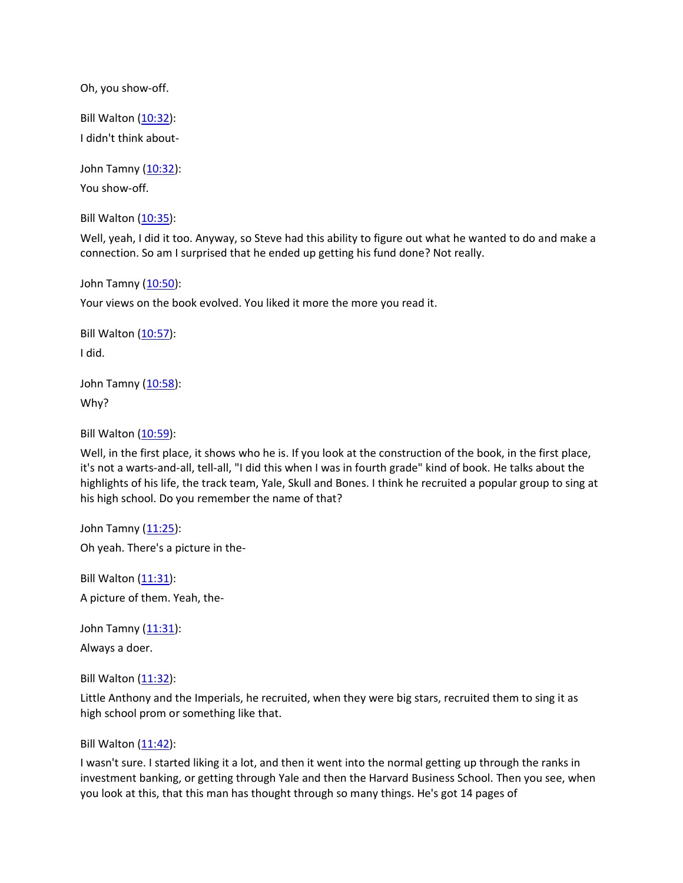Oh, you show-off.

Bill Walton [\(10:32\)](https://www.rev.com/transcript-editor/Edit?token=gHjWgfTkXxOWxcl75mb-DvfMsU4alE_16vE63x8nUNmr64YGKz9vP2PGYjYLxv6Ezt-GKOSvYZ64JDXYtEuLlTf-zAE&loadFrom=DocumentDeeplink&ts=632.44): I didn't think about-

John Tamny [\(10:32\)](https://www.rev.com/transcript-editor/Edit?token=KUM8zl_ADh1fm_bVLojglZ50X8DwZaX7PaRsfTQPeeLlyEglnRADEhUHqnCU0Xby0YYiMx1sXWyly8Vfec0K2Ra42VA&loadFrom=DocumentDeeplink&ts=632.44): You show-off.

Bill Walton [\(10:35\)](https://www.rev.com/transcript-editor/Edit?token=Bc9vAw2OTlfAmkAgbLgWuZ760kzcP1Vq6GG0QLSqS23Faw3vuTA1UluQu9AEP_U8bPasVP5HPMLMS4oRMdli3grRlyo&loadFrom=DocumentDeeplink&ts=635.25):

Well, yeah, I did it too. Anyway, so Steve had this ability to figure out what he wanted to do and make a connection. So am I surprised that he ended up getting his fund done? Not really.

John Tamny [\(10:50\)](https://www.rev.com/transcript-editor/Edit?token=XFORhZeXNT__2ToI36jpKYnXxdDH-6pwMgmQaq_JpoUw7-kuRHSNgdgUXAKjfAI-pQzxnprQFvIpRAbBgeQcL_aPg0A&loadFrom=DocumentDeeplink&ts=650.38):

Your views on the book evolved. You liked it more the more you read it.

Bill Walton  $(10:57)$ : I did.

John Tamny [\(10:58\)](https://www.rev.com/transcript-editor/Edit?token=yz6j6-XsL3zD5sGqiGCfJrLieqCyWwwFjrZ27X9bOngiHfK-xgHo7TNSuLBH53dup8sLU_FOqZ6CnpkfWF2wQ7vHIso&loadFrom=DocumentDeeplink&ts=658.64): Why?

Bill Walton [\(10:59\)](https://www.rev.com/transcript-editor/Edit?token=3fSP7PyJMCg6MczFaXDPWdR7ghJ5B2EVhpKkIVefSfsgjGrABE8qE2DPErE793Zua86Iqyg67zvt4vuM3X_AlmfIrTQ&loadFrom=DocumentDeeplink&ts=659.36):

Well, in the first place, it shows who he is. If you look at the construction of the book, in the first place, it's not a warts-and-all, tell-all, "I did this when I was in fourth grade" kind of book. He talks about the highlights of his life, the track team, Yale, Skull and Bones. I think he recruited a popular group to sing at his high school. Do you remember the name of that?

John Tamny  $(11:25)$ : Oh yeah. There's a picture in the-

Bill Walton  $(11:31)$ : A picture of them. Yeah, the-

John Tamny [\(11:31\)](https://www.rev.com/transcript-editor/Edit?token=I9K6yMqdcDHajFS99MRG0nD03A8_eMFY5BZYlhC8iTTBzOxn6JuX9E5lbk5gVdVv4d_SVtVjVPKrYUKB8MPIuhOydFQ&loadFrom=DocumentDeeplink&ts=691.94): Always a doer.

Bill Walton [\(11:32\)](https://www.rev.com/transcript-editor/Edit?token=48DqOnixVCN3pU-2ARlC0xiPjk18SCQIcWXi5Wft_f9T43obL2YNccY6hy7g5wGpamETt832RT0Uy9wZowcDMyRm2yA&loadFrom=DocumentDeeplink&ts=692.56):

Little Anthony and the Imperials, he recruited, when they were big stars, recruited them to sing it as high school prom or something like that.

Bill Walton [\(11:42\)](https://www.rev.com/transcript-editor/Edit?token=D1O5XcBKTUPmPmYur-qramomWzioH0hS0YklR7_bslAF5tD8q97-viObk3MaH9Gyb16uvGvexhxErKtE9rDfUkHVHMg&loadFrom=DocumentDeeplink&ts=702.43):

I wasn't sure. I started liking it a lot, and then it went into the normal getting up through the ranks in investment banking, or getting through Yale and then the Harvard Business School. Then you see, when you look at this, that this man has thought through so many things. He's got 14 pages of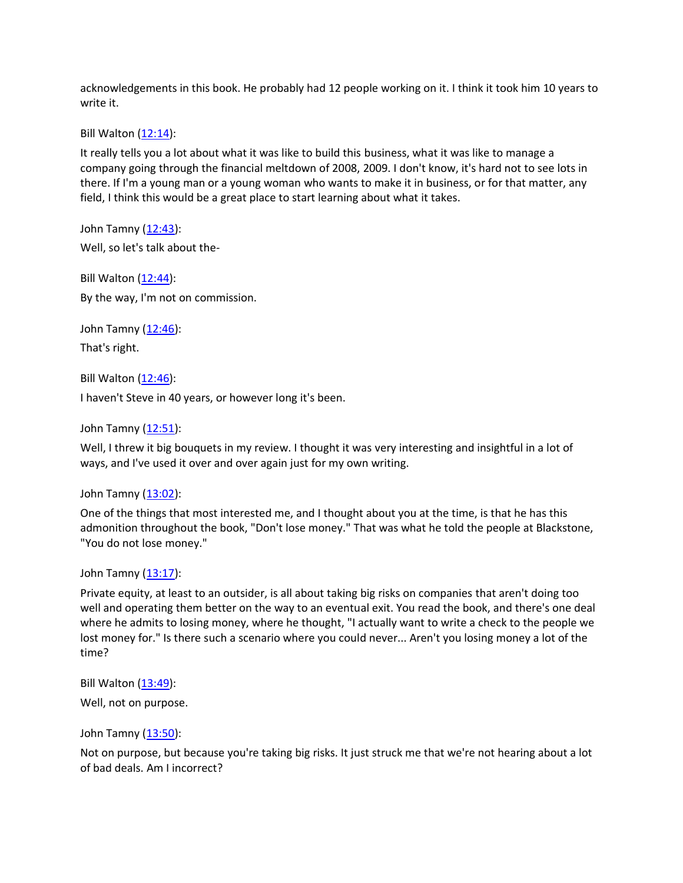acknowledgements in this book. He probably had 12 people working on it. I think it took him 10 years to write it.

Bill Walton [\(12:14\)](https://www.rev.com/transcript-editor/Edit?token=fXZpwVZgtZkVFWvJZXwYBQRUAaOYb4pKswujI0gWLwir5nnp_bRidZpeCjhEuDHyBSs8V3wBCVszwjAKkazvjZ1TVpg&loadFrom=DocumentDeeplink&ts=734.97):

It really tells you a lot about what it was like to build this business, what it was like to manage a company going through the financial meltdown of 2008, 2009. I don't know, it's hard not to see lots in there. If I'm a young man or a young woman who wants to make it in business, or for that matter, any field, I think this would be a great place to start learning about what it takes.

John Tamny [\(12:43\)](https://www.rev.com/transcript-editor/Edit?token=TuTMYaRF_ffQOkycwI-nqbYyahIFqHaF3Nn1pEeDsvEcL5nwM3rL7yPtPfYo3dYqAfagULjnkpUI3rztPOSmvVswgKg&loadFrom=DocumentDeeplink&ts=763.55): Well, so let's talk about the-

Bill Walton [\(12:44\)](https://www.rev.com/transcript-editor/Edit?token=zNFs5l4iSooQOYc2tcVnMU2DKxByd3nK6BOWILYG3NM-yPAY3LA-I4CB4UbFSJcj2_fsfn1RB2A8Ig0zmhlv_pSMjb8&loadFrom=DocumentDeeplink&ts=764.74): By the way, I'm not on commission.

John Tamny [\(12:46\)](https://www.rev.com/transcript-editor/Edit?token=CiwsB2e6WDgvLk48iIg2XC4L9INDs04vmBW5GSChukKxSjlIZDRXm-_3GoSrV1BUNNVg3fO-WiE8nNbTwHq3CIbuWbc&loadFrom=DocumentDeeplink&ts=766.22): That's right.

Bill Walton [\(12:46\)](https://www.rev.com/transcript-editor/Edit?token=RE1GvhiJmjwjsC54oYmgicd36BtaJIWEh_Kn5nkWTTaSxPAsKd5Mf4UQJO9sUyatwlE_rCWWyHdgsoNz5fesqiaqU0Q&loadFrom=DocumentDeeplink&ts=766.29):

I haven't Steve in 40 years, or however long it's been.

John Tamny [\(12:51\)](https://www.rev.com/transcript-editor/Edit?token=b7yqHGNgxvDS6t16HaLWrZw0UpzwsZeliiYGZUkw74xSf8sy9icA5UKxhxgEgb7JpgAUhiHmkNjkZgcrr6tFVJ-JBi4&loadFrom=DocumentDeeplink&ts=771.66):

Well, I threw it big bouquets in my review. I thought it was very interesting and insightful in a lot of ways, and I've used it over and over again just for my own writing.

John Tamny [\(13:02\)](https://www.rev.com/transcript-editor/Edit?token=pc628JYzTC--a3SjHhYMuAYNJG3iHvd8Xz-pvJf5eP9aMP4Ta5j82UsWh_EYZxGwZGC0tYVxYpGJV75vY-XFYseLx5s&loadFrom=DocumentDeeplink&ts=782.48):

One of the things that most interested me, and I thought about you at the time, is that he has this admonition throughout the book, "Don't lose money." That was what he told the people at Blackstone, "You do not lose money."

John Tamny [\(13:17\)](https://www.rev.com/transcript-editor/Edit?token=htPUTZHiE17-589lzMdu2QBb4xQZ5hkxLqL-aCaXApJknFRpKmMGq221_yv7m8Efuia9VtWjdJ15zRBV45Apjwvb2Yk&loadFrom=DocumentDeeplink&ts=797.94):

Private equity, at least to an outsider, is all about taking big risks on companies that aren't doing too well and operating them better on the way to an eventual exit. You read the book, and there's one deal where he admits to losing money, where he thought, "I actually want to write a check to the people we lost money for." Is there such a scenario where you could never... Aren't you losing money a lot of the time?

Bill Walton [\(13:49\)](https://www.rev.com/transcript-editor/Edit?token=VQ0XL5L_uHPKhv6HYiIxvgNijp3aKbngrTXmhvg-Yxp6kEJq8tyfki05XLHXTlRLv4bVVdcRiPhOE7ulL5nYjhLYV4k&loadFrom=DocumentDeeplink&ts=829.66):

Well, not on purpose.

John Tamny [\(13:50\)](https://www.rev.com/transcript-editor/Edit?token=bCZKQsgLh0YDD2ijvm2QmapRL9IqClYkS-TFvnhggqdqmZq-DsJ9cA5NoNc1ZbyWjwkDXWvzpW0TSEa6LGKmssXzAZU&loadFrom=DocumentDeeplink&ts=830.97):

Not on purpose, but because you're taking big risks. It just struck me that we're not hearing about a lot of bad deals. Am I incorrect?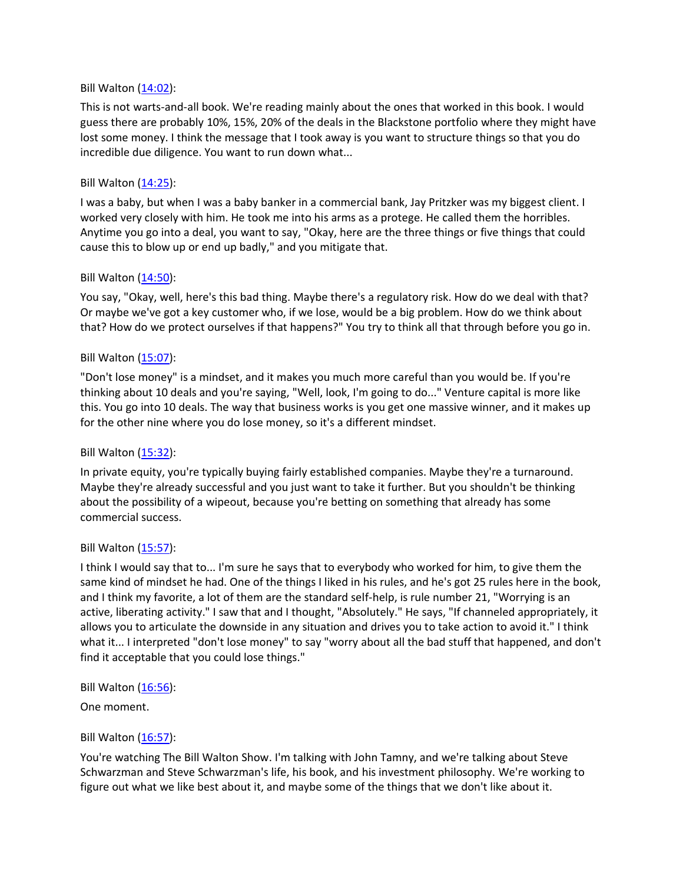### Bill Walton [\(14:02\)](https://www.rev.com/transcript-editor/Edit?token=KpmWtFVHCqzUxoRU0wrt_tqBtoNNgyUcSgp_B-bp3DFwvLM6hWGfJBNeV9MfcGvSKq9dkn_lovNxdG_hN6p3Sks-Bis&loadFrom=DocumentDeeplink&ts=842.45):

This is not warts-and-all book. We're reading mainly about the ones that worked in this book. I would guess there are probably 10%, 15%, 20% of the deals in the Blackstone portfolio where they might have lost some money. I think the message that I took away is you want to structure things so that you do incredible due diligence. You want to run down what...

### Bill Walton [\(14:25\)](https://www.rev.com/transcript-editor/Edit?token=LRA3gFjvhN-czY_NqSYEmgIfZLbPf2MHvWwIhJRR6UmreX-Ai-P1XvNFHdVhyxb0LJNoBjr0k42vVmRHVHwZ0g3nWMk&loadFrom=DocumentDeeplink&ts=865.86):

I was a baby, but when I was a baby banker in a commercial bank, Jay Pritzker was my biggest client. I worked very closely with him. He took me into his arms as a protege. He called them the horribles. Anytime you go into a deal, you want to say, "Okay, here are the three things or five things that could cause this to blow up or end up badly," and you mitigate that.

### Bill Walton [\(14:50\)](https://www.rev.com/transcript-editor/Edit?token=1iTFi-ti-oFGtQBhbaD8Q9xzgH7426g5VmQnn_DlaZJxsOi5PPRVWvuxH63OLjsIwE7-qOfFXUF-yUxCpNVAm5jYVW8&loadFrom=DocumentDeeplink&ts=890.96):

You say, "Okay, well, here's this bad thing. Maybe there's a regulatory risk. How do we deal with that? Or maybe we've got a key customer who, if we lose, would be a big problem. How do we think about that? How do we protect ourselves if that happens?" You try to think all that through before you go in.

## Bill Walton [\(15:07\)](https://www.rev.com/transcript-editor/Edit?token=hOB117N9FCR8bzduOazJvMhKQh9W2kv4CXg_Oj53k1PZNZi2mOJmgyLq4aUiNoG9ewanMp_jhj2qElA6AkyGzdQeZx4&loadFrom=DocumentDeeplink&ts=907.73):

"Don't lose money" is a mindset, and it makes you much more careful than you would be. If you're thinking about 10 deals and you're saying, "Well, look, I'm going to do..." Venture capital is more like this. You go into 10 deals. The way that business works is you get one massive winner, and it makes up for the other nine where you do lose money, so it's a different mindset.

## Bill Walton [\(15:32\)](https://www.rev.com/transcript-editor/Edit?token=zL4AKiSRUWUIs_w7ZJxgJxO0H8vC8p8Pr8VfTKDA8nT9jusS9WynWKkgLkhnqViLmShUG5G91VHZwFVuVOfN29k_a-g&loadFrom=DocumentDeeplink&ts=932.18):

In private equity, you're typically buying fairly established companies. Maybe they're a turnaround. Maybe they're already successful and you just want to take it further. But you shouldn't be thinking about the possibility of a wipeout, because you're betting on something that already has some commercial success.

#### Bill Walton [\(15:57\)](https://www.rev.com/transcript-editor/Edit?token=LHJG_ncMArUWQBZwpcGm1pz-7f5YP2woqo6cfdRQ8N7FXpDtoYtPe_IBJFdiF52N0fNqwxfpgTIuUmF4TXlWr3OoVDI&loadFrom=DocumentDeeplink&ts=957.33):

I think I would say that to... I'm sure he says that to everybody who worked for him, to give them the same kind of mindset he had. One of the things I liked in his rules, and he's got 25 rules here in the book, and I think my favorite, a lot of them are the standard self-help, is rule number 21, "Worrying is an active, liberating activity." I saw that and I thought, "Absolutely." He says, "If channeled appropriately, it allows you to articulate the downside in any situation and drives you to take action to avoid it." I think what it... I interpreted "don't lose money" to say "worry about all the bad stuff that happened, and don't find it acceptable that you could lose things."

Bill Walton [\(16:56\)](https://www.rev.com/transcript-editor/Edit?token=kEFCLWBCmoAjPerSPIMQlbRMvfsn2hSfWqkuU-Hll-nnOL3XTYtCgKPrhegI2KQijarPQontBnKTPgmoT9hWTZ5Hrdw&loadFrom=DocumentDeeplink&ts=1016.52):

One moment.

#### Bill Walton [\(16:57\)](https://www.rev.com/transcript-editor/Edit?token=FuMs6y40LZbDyRDY4-_dGREs3UyZGY3fNvopU-imZVbxT6bgNUVXdnCLUBGIYuswigz0KN6tJl1srojUNyuDt6nZSBw&loadFrom=DocumentDeeplink&ts=1017.37):

You're watching The Bill Walton Show. I'm talking with John Tamny, and we're talking about Steve Schwarzman and Steve Schwarzman's life, his book, and his investment philosophy. We're working to figure out what we like best about it, and maybe some of the things that we don't like about it.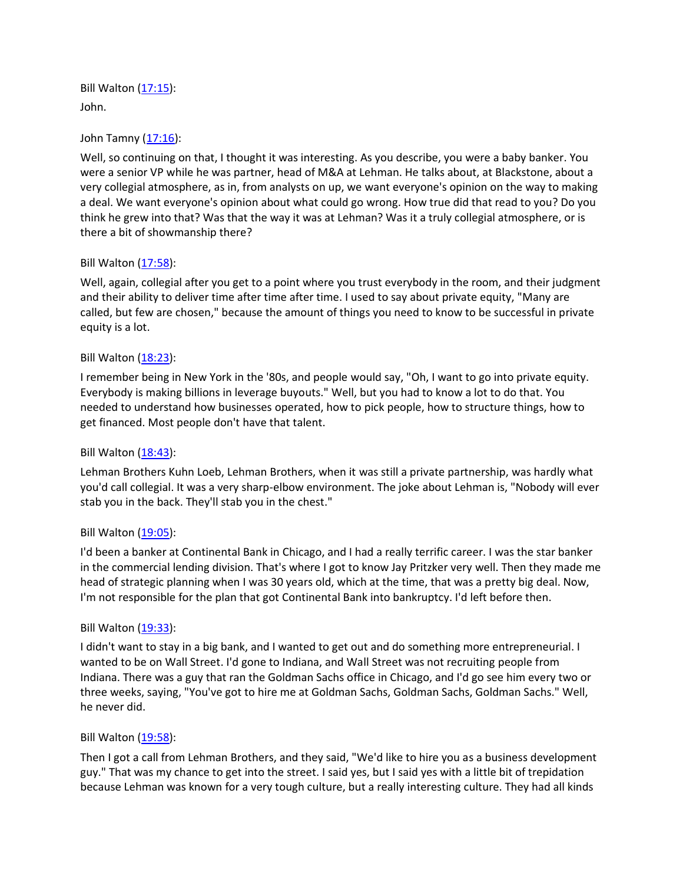Bill Walton [\(17:15\)](https://www.rev.com/transcript-editor/Edit?token=tYUfJn9kimwUnysANz5t5zuq8-fdoyBhjE3SiPhJUOtUW9dTviRKh09KqKIIO0YGyVnE6vAmuko8qrG81KlYiXppka4&loadFrom=DocumentDeeplink&ts=1035): John.

## John Tamny [\(17:16\)](https://www.rev.com/transcript-editor/Edit?token=Ews1njPqqDKX6yr73BS9Y3WwJ3EWhqGjSZtP7ja_wWUFdoLF4Ilr42L0mC34VMHigJIWZ1fR5EvCUrhGwN3h1UnJ1vU&loadFrom=DocumentDeeplink&ts=1036.29):

Well, so continuing on that, I thought it was interesting. As you describe, you were a baby banker. You were a senior VP while he was partner, head of M&A at Lehman. He talks about, at Blackstone, about a very collegial atmosphere, as in, from analysts on up, we want everyone's opinion on the way to making a deal. We want everyone's opinion about what could go wrong. How true did that read to you? Do you think he grew into that? Was that the way it was at Lehman? Was it a truly collegial atmosphere, or is there a bit of showmanship there?

### Bill Walton [\(17:58\)](https://www.rev.com/transcript-editor/Edit?token=rrxep8FYnT-n8iX_bM7gQE8yhQhgyaLGT_c2RuhBaNiPB_hrIMZf1ap750iwk0G5IzNIM7W1xcKQmkV9iYlTNzHkmE0&loadFrom=DocumentDeeplink&ts=1078.1):

Well, again, collegial after you get to a point where you trust everybody in the room, and their judgment and their ability to deliver time after time after time. I used to say about private equity, "Many are called, but few are chosen," because the amount of things you need to know to be successful in private equity is a lot.

### Bill Walton [\(18:23\)](https://www.rev.com/transcript-editor/Edit?token=DcXSYlaM2bnvoyKYvLM4MfhxawQO7hyxy8d6T3qP414jYAnd6nPpip0uxAb8h1_xPu5Vz4H_bbD8A86e7xqyG8UtEqs&loadFrom=DocumentDeeplink&ts=1103.13):

I remember being in New York in the '80s, and people would say, "Oh, I want to go into private equity. Everybody is making billions in leverage buyouts." Well, but you had to know a lot to do that. You needed to understand how businesses operated, how to pick people, how to structure things, how to get financed. Most people don't have that talent.

#### Bill Walton [\(18:43\)](https://www.rev.com/transcript-editor/Edit?token=gZPm7Gl6HsuY4t9MSW9jjzVxQOO2L1Xn4yDVGPcYtpZlNG-fytXayI-hjpHxXEYDyxOHQ-lWlgdFBbfo4CdDn_KyzAU&loadFrom=DocumentDeeplink&ts=1123.69):

Lehman Brothers Kuhn Loeb, Lehman Brothers, when it was still a private partnership, was hardly what you'd call collegial. It was a very sharp-elbow environment. The joke about Lehman is, "Nobody will ever stab you in the back. They'll stab you in the chest."

#### Bill Walton  $(19:05)$ :

I'd been a banker at Continental Bank in Chicago, and I had a really terrific career. I was the star banker in the commercial lending division. That's where I got to know Jay Pritzker very well. Then they made me head of strategic planning when I was 30 years old, which at the time, that was a pretty big deal. Now, I'm not responsible for the plan that got Continental Bank into bankruptcy. I'd left before then.

#### Bill Walton [\(19:33\)](https://www.rev.com/transcript-editor/Edit?token=ziiKdaiynw3A3VXJHxnTvQ_N3regUTQI_o9cYdQ7L0WwRx11I6n1FlLI66nPg-qzU_s7a0nm2d_X43mvqllQBVI2z9U&loadFrom=DocumentDeeplink&ts=1173.41):

I didn't want to stay in a big bank, and I wanted to get out and do something more entrepreneurial. I wanted to be on Wall Street. I'd gone to Indiana, and Wall Street was not recruiting people from Indiana. There was a guy that ran the Goldman Sachs office in Chicago, and I'd go see him every two or three weeks, saying, "You've got to hire me at Goldman Sachs, Goldman Sachs, Goldman Sachs." Well, he never did.

#### Bill Walton [\(19:58\)](https://www.rev.com/transcript-editor/Edit?token=lWN44zR2zQ1mwqAPaGkyZiWKlzR4-ErLhyftcAHQ8empKTvdxP2211h3OyRksp-T7zD6jxxeq9wSuMxg_MlHWb2N-YI&loadFrom=DocumentDeeplink&ts=1198.46):

Then I got a call from Lehman Brothers, and they said, "We'd like to hire you as a business development guy." That was my chance to get into the street. I said yes, but I said yes with a little bit of trepidation because Lehman was known for a very tough culture, but a really interesting culture. They had all kinds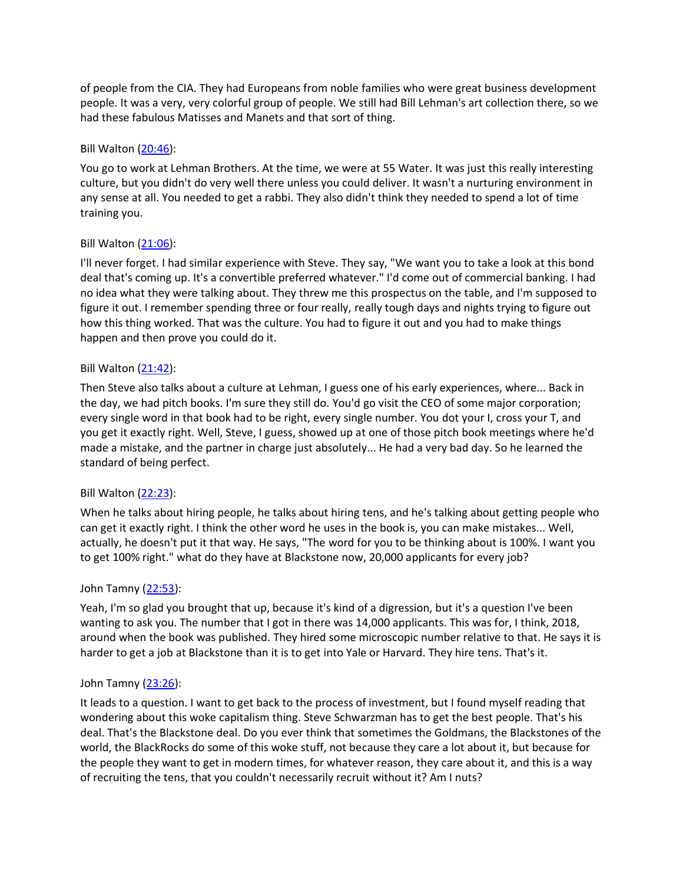of people from the CIA. They had Europeans from noble families who were great business development people. It was a very, very colorful group of people. We still had Bill Lehman's art collection there, so we had these fabulous Matisses and Manets and that sort of thing.

## Bill Walton [\(20:46\)](https://www.rev.com/transcript-editor/Edit?token=hxn0ysnlKG7DIvYrGFbhgVTG0o_1qNwpTtU8WKdRp09w5fpaQFMs3zRqJkz1vCXuFp_I50QutnIqtAtLqBDSQfmJEG0&loadFrom=DocumentDeeplink&ts=1246.31):

You go to work at Lehman Brothers. At the time, we were at 55 Water. It was just this really interesting culture, but you didn't do very well there unless you could deliver. It wasn't a nurturing environment in any sense at all. You needed to get a rabbi. They also didn't think they needed to spend a lot of time training you.

### Bill Walton [\(21:06\)](https://www.rev.com/transcript-editor/Edit?token=wgKXzJMZbwRFmizMvB72fqDgT5ShyUe2oX57pIu-2ovwLpNLFemdQ0YVLekqiXIYQ7B1CWimIgLDMkZeRlFfNVVXg80&loadFrom=DocumentDeeplink&ts=1266.63):

I'll never forget. I had similar experience with Steve. They say, "We want you to take a look at this bond deal that's coming up. It's a convertible preferred whatever." I'd come out of commercial banking. I had no idea what they were talking about. They threw me this prospectus on the table, and I'm supposed to figure it out. I remember spending three or four really, really tough days and nights trying to figure out how this thing worked. That was the culture. You had to figure it out and you had to make things happen and then prove you could do it.

### Bill Walton [\(21:42\)](https://www.rev.com/transcript-editor/Edit?token=hMpIODF_IBLZNz2qV02AKqM255mpj1TcxEWQwMouLBlo94phloo419LW5fpg42QqylbZfYn15mKPq9XY6Q6tw5dq3Lw&loadFrom=DocumentDeeplink&ts=1302.26):

Then Steve also talks about a culture at Lehman, I guess one of his early experiences, where... Back in the day, we had pitch books. I'm sure they still do. You'd go visit the CEO of some major corporation; every single word in that book had to be right, every single number. You dot your I, cross your T, and you get it exactly right. Well, Steve, I guess, showed up at one of those pitch book meetings where he'd made a mistake, and the partner in charge just absolutely... He had a very bad day. So he learned the standard of being perfect.

## Bill Walton [\(22:23\)](https://www.rev.com/transcript-editor/Edit?token=79pw-Nm1dsXqg58LZ1Pad1DMaOVrplAXDzFE-2oaDEid5ihBUcVbZhsKWqUwAjeGcd7H-ZlH7zO86a22mc8htfFFSJw&loadFrom=DocumentDeeplink&ts=1343.62):

When he talks about hiring people, he talks about hiring tens, and he's talking about getting people who can get it exactly right. I think the other word he uses in the book is, you can make mistakes... Well, actually, he doesn't put it that way. He says, "The word for you to be thinking about is 100%. I want you to get 100% right." what do they have at Blackstone now, 20,000 applicants for every job?

## John Tamny [\(22:53\)](https://www.rev.com/transcript-editor/Edit?token=hd4Vw8T5e2GZtwLctRT6_RgVt0IMx3OsWyT8w4zM0sjK9hQzm-9DNLS2ov13aM5VpoxGnYUDmfaR4Ofl_1u_1iyP4-E&loadFrom=DocumentDeeplink&ts=1373.48):

Yeah, I'm so glad you brought that up, because it's kind of a digression, but it's a question I've been wanting to ask you. The number that I got in there was 14,000 applicants. This was for, I think, 2018, around when the book was published. They hired some microscopic number relative to that. He says it is harder to get a job at Blackstone than it is to get into Yale or Harvard. They hire tens. That's it.

## John Tamny [\(23:26\)](https://www.rev.com/transcript-editor/Edit?token=OpwSSwvv2FC6nzlJuZfp_yUiOWNudLrRXjHbBTUVDnKxeleNoVvHKAwZX6DmfCC4H1bqZC-EY66snmwC_Rz2zu0N-bU&loadFrom=DocumentDeeplink&ts=1406):

It leads to a question. I want to get back to the process of investment, but I found myself reading that wondering about this woke capitalism thing. Steve Schwarzman has to get the best people. That's his deal. That's the Blackstone deal. Do you ever think that sometimes the Goldmans, the Blackstones of the world, the BlackRocks do some of this woke stuff, not because they care a lot about it, but because for the people they want to get in modern times, for whatever reason, they care about it, and this is a way of recruiting the tens, that you couldn't necessarily recruit without it? Am I nuts?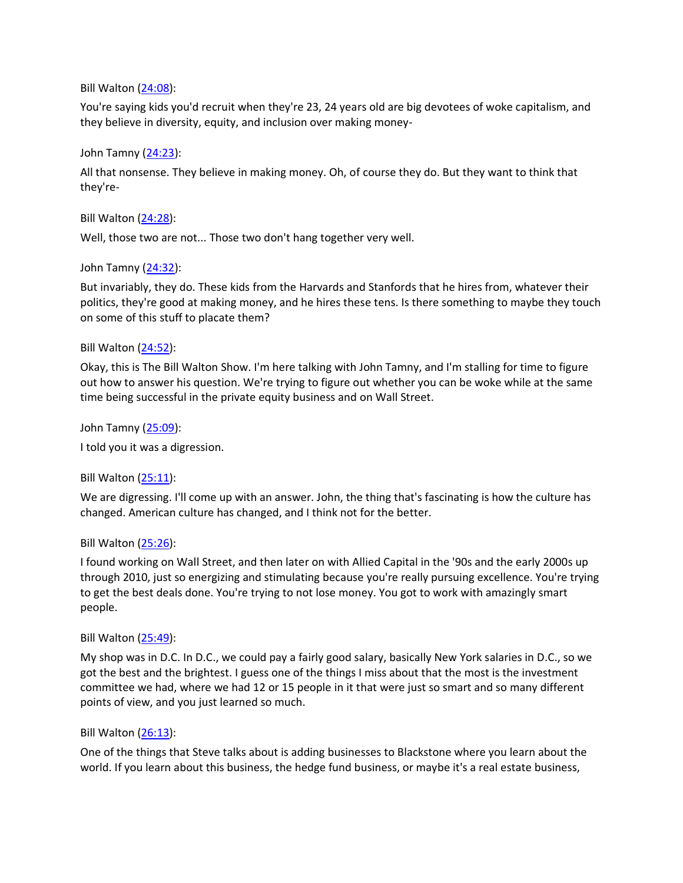### Bill Walton [\(24:08\)](https://www.rev.com/transcript-editor/Edit?token=OQOslKBslEpmcYX7XiDEf4knWaTpvvffQw_nYIme5x4j22rJ4z30nLPtvrW83boREmwSCQjRvYh8yv0U_hxWecqMMO4&loadFrom=DocumentDeeplink&ts=1448.33):

You're saying kids you'd recruit when they're 23, 24 years old are big devotees of woke capitalism, and they believe in diversity, equity, and inclusion over making money-

### John Tamny [\(24:23\)](https://www.rev.com/transcript-editor/Edit?token=csjqndtTjDcTLSFCQBaHI3GkZYxCIcfq29X3PVtqDUg33fZRZ7dMxEbEl2zAZuPVvfCJPtpQryyujqotVeuxG2gGRaY&loadFrom=DocumentDeeplink&ts=1463.12):

All that nonsense. They believe in making money. Oh, of course they do. But they want to think that they're-

### Bill Walton [\(24:28\)](https://www.rev.com/transcript-editor/Edit?token=ph1DKkX8-N_SkjhjxC3KD-tXQi7WBl5n3QJbqtuKUIil-NBQpQv-n3LtLnImozMR47PAXc1x9GMmzchEeUary3A5-aw&loadFrom=DocumentDeeplink&ts=1468.66):

Well, those two are not... Those two don't hang together very well.

## John Tamny [\(24:32\)](https://www.rev.com/transcript-editor/Edit?token=3jQLXNWGkhbiRVMLl4UlGm30707mMaWsXePQXgdTQO3NQgYNo2QZT_-s6Q4wQSaBV_5LgspI7SgHM1lrLr1kkOa_wEs&loadFrom=DocumentDeeplink&ts=1472.21):

But invariably, they do. These kids from the Harvards and Stanfords that he hires from, whatever their politics, they're good at making money, and he hires these tens. Is there something to maybe they touch on some of this stuff to placate them?

### Bill Walton [\(24:52\)](https://www.rev.com/transcript-editor/Edit?token=NPRtKWVTSNYiOaPpVdU1lrLRX6uAF9_VxXmRBDpT4xyB20sucA1q3pE4-FfLW34PL_4IXkHoAgi2U4EdvhYg3FinMUI&loadFrom=DocumentDeeplink&ts=1492.58):

Okay, this is The Bill Walton Show. I'm here talking with John Tamny, and I'm stalling for time to figure out how to answer his question. We're trying to figure out whether you can be woke while at the same time being successful in the private equity business and on Wall Street.

John Tamny [\(25:09\)](https://www.rev.com/transcript-editor/Edit?token=9-7VHB1qw0Sn3UuMSiXY8byyuYR2NSwyYjt89iiQazCXaFlyYxosEu-4asy_rcFyg-5BFwBcDA4Ii_lM5FcjW69R1ws&loadFrom=DocumentDeeplink&ts=1509.36):

I told you it was a digression.

## Bill Walton  $(25:11)$ :

We are digressing. I'll come up with an answer. John, the thing that's fascinating is how the culture has changed. American culture has changed, and I think not for the better.

#### Bill Walton [\(25:26\)](https://www.rev.com/transcript-editor/Edit?token=lTnIbaYtmL0OLWt8PrmF8IE-EC95ijbi2lfjZSuwpCBcBepwPpKjBZfiop3CcfM_AqDmr8Lq1KUL-tAaTCR9PswIDik&loadFrom=DocumentDeeplink&ts=1526.52):

I found working on Wall Street, and then later on with Allied Capital in the '90s and the early 2000s up through 2010, just so energizing and stimulating because you're really pursuing excellence. You're trying to get the best deals done. You're trying to not lose money. You got to work with amazingly smart people.

#### Bill Walton [\(25:49\)](https://www.rev.com/transcript-editor/Edit?token=frqIAGLCfewSAI2zaPFxpOhbrmb2Hfqji9aal32wS1IXKUifBWh8re_CcwsKq3Eto_MijF1smMTvjC4CseVdmP2vqCc&loadFrom=DocumentDeeplink&ts=1549.53):

My shop was in D.C. In D.C., we could pay a fairly good salary, basically New York salaries in D.C., so we got the best and the brightest. I guess one of the things I miss about that the most is the investment committee we had, where we had 12 or 15 people in it that were just so smart and so many different points of view, and you just learned so much.

#### Bill Walton [\(26:13\)](https://www.rev.com/transcript-editor/Edit?token=Z5l9XpetOWd-wG5yw2TAk9NEczTgncyunTzQA_pk2h0gIvAafPdzskQpJom4q62If39BlPIPlfsE86jZpngFi7Y13n4&loadFrom=DocumentDeeplink&ts=1573):

One of the things that Steve talks about is adding businesses to Blackstone where you learn about the world. If you learn about this business, the hedge fund business, or maybe it's a real estate business,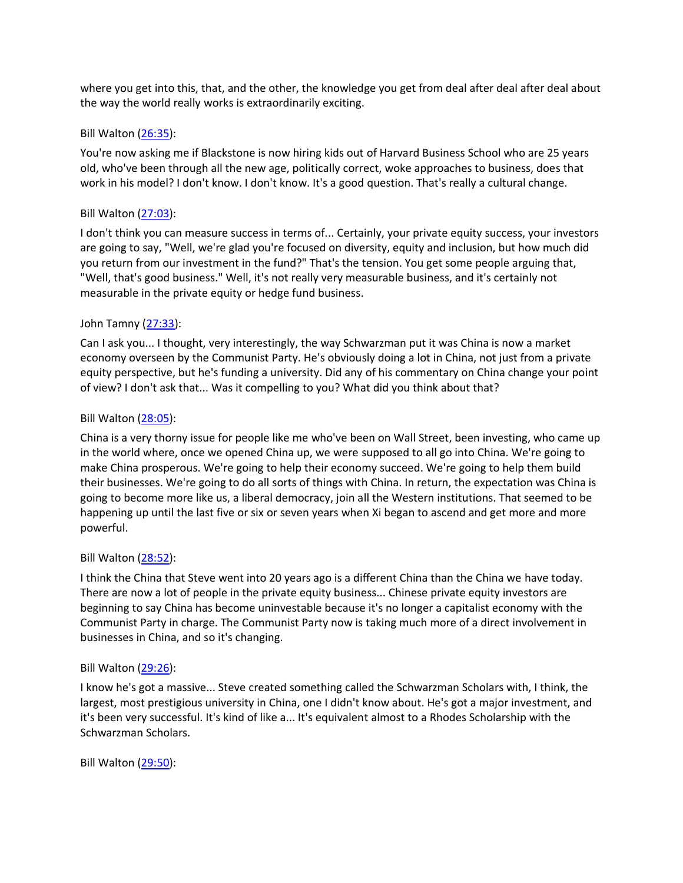where you get into this, that, and the other, the knowledge you get from deal after deal after deal about the way the world really works is extraordinarily exciting.

## Bill Walton [\(26:35\)](https://www.rev.com/transcript-editor/Edit?token=pfXSh7AylCR5MVtov2hzo3N3gtgeFd3YRAi-XsDWJtV1k8RkSQXsYwKP4K3XYFFfwsVVoprpVHOi9KHN7X4RnYIejcc&loadFrom=DocumentDeeplink&ts=1595.88):

You're now asking me if Blackstone is now hiring kids out of Harvard Business School who are 25 years old, who've been through all the new age, politically correct, woke approaches to business, does that work in his model? I don't know. I don't know. It's a good question. That's really a cultural change.

### Bill Walton [\(27:03\)](https://www.rev.com/transcript-editor/Edit?token=AB4jQjA2zt76pZ2CNafav4-Si59Jv10_ddwbfxbwQMPyrGCHtWmiE9FKyVW-aRS4QFlDXytPz4ljloiEZ9Znj-8jb1w&loadFrom=DocumentDeeplink&ts=1623.13):

I don't think you can measure success in terms of... Certainly, your private equity success, your investors are going to say, "Well, we're glad you're focused on diversity, equity and inclusion, but how much did you return from our investment in the fund?" That's the tension. You get some people arguing that, "Well, that's good business." Well, it's not really very measurable business, and it's certainly not measurable in the private equity or hedge fund business.

## John Tamny [\(27:33\)](https://www.rev.com/transcript-editor/Edit?token=vFObyO8dP7tdpfTKUgC_mTyhzrSdKNhEUiog8L1R6j4MqNlvOhzDomA4-6jl-SZqIizK8ho1Qrq2vvBD8EvximQzO4Q&loadFrom=DocumentDeeplink&ts=1653.49):

Can I ask you... I thought, very interestingly, the way Schwarzman put it was China is now a market economy overseen by the Communist Party. He's obviously doing a lot in China, not just from a private equity perspective, but he's funding a university. Did any of his commentary on China change your point of view? I don't ask that... Was it compelling to you? What did you think about that?

### Bill Walton [\(28:05\)](https://www.rev.com/transcript-editor/Edit?token=zWWSMoq7YLiDSWINKId2iq56lI7AefgDKtNxa5y2FFC1wIIlrTJ69P8pCaP--ec9FJSo5Yp77Rey20pUOzAe_FYebrE&loadFrom=DocumentDeeplink&ts=1685.09):

China is a very thorny issue for people like me who've been on Wall Street, been investing, who came up in the world where, once we opened China up, we were supposed to all go into China. We're going to make China prosperous. We're going to help their economy succeed. We're going to help them build their businesses. We're going to do all sorts of things with China. In return, the expectation was China is going to become more like us, a liberal democracy, join all the Western institutions. That seemed to be happening up until the last five or six or seven years when Xi began to ascend and get more and more powerful.

## Bill Walton [\(28:52\)](https://www.rev.com/transcript-editor/Edit?token=gPKzEJhQnouVVMADjlsDfSVhT1nxiOdJUGd9_h_FiTIXJOeSsBDo3VW_nSzwwUZGi-H26hzDP3sNAToxTmm1bTRSito&loadFrom=DocumentDeeplink&ts=1732.04):

I think the China that Steve went into 20 years ago is a different China than the China we have today. There are now a lot of people in the private equity business... Chinese private equity investors are beginning to say China has become uninvestable because it's no longer a capitalist economy with the Communist Party in charge. The Communist Party now is taking much more of a direct involvement in businesses in China, and so it's changing.

## Bill Walton [\(29:26\)](https://www.rev.com/transcript-editor/Edit?token=CzucfQchj9crQ8Ua5SIuY8pxR8sS8aRNDolxRyPEughLJMLAk4vVqVp6kJJ6N8AIDGG2P7cg8JbpnoeRws8iU0JG2mk&loadFrom=DocumentDeeplink&ts=1766.85):

I know he's got a massive... Steve created something called the Schwarzman Scholars with, I think, the largest, most prestigious university in China, one I didn't know about. He's got a major investment, and it's been very successful. It's kind of like a... It's equivalent almost to a Rhodes Scholarship with the Schwarzman Scholars.

Bill Walton [\(29:50\)](https://www.rev.com/transcript-editor/Edit?token=yJgOFIuvmDF9WYm6DWKMaCpgCsOtM3dbpOsQ0EmaqS3TrISnt-76jdqwpnnRPZTbGcfoLELfNC6pP2y_ngshJ0OkXgY&loadFrom=DocumentDeeplink&ts=1790.79):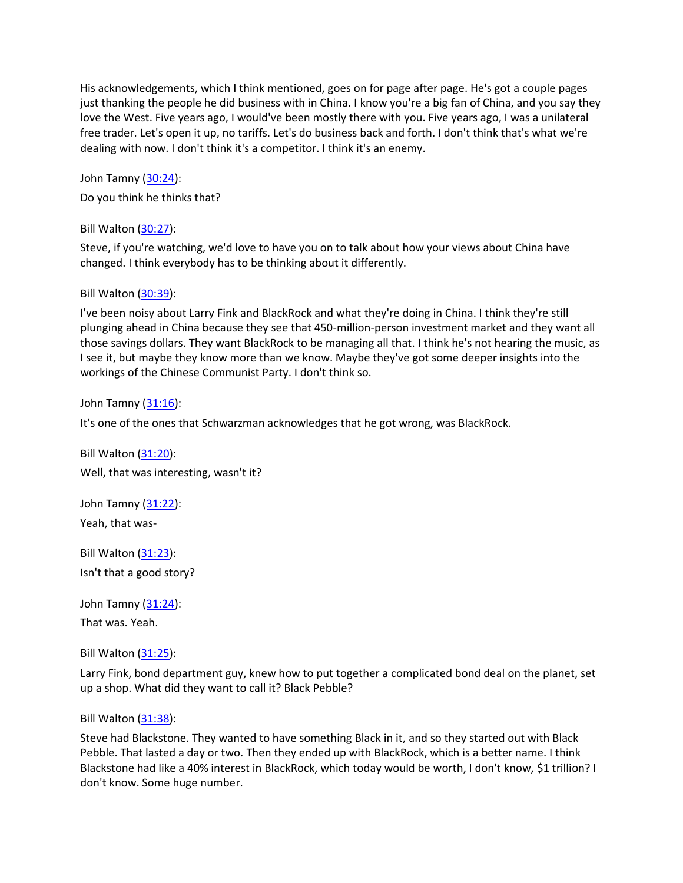His acknowledgements, which I think mentioned, goes on for page after page. He's got a couple pages just thanking the people he did business with in China. I know you're a big fan of China, and you say they love the West. Five years ago, I would've been mostly there with you. Five years ago, I was a unilateral free trader. Let's open it up, no tariffs. Let's do business back and forth. I don't think that's what we're dealing with now. I don't think it's a competitor. I think it's an enemy.

John Tamny [\(30:24\)](https://www.rev.com/transcript-editor/Edit?token=Anrz82xUO9Za1roQUNv8jVT6ZLU3b5cUpl8-fVVh-0I67ohWA7fpHR_E2CMObmkrrUyzz7exENcpHo7kak-v8WGJ58Q&loadFrom=DocumentDeeplink&ts=1824.3):

Do you think he thinks that?

Bill Walton [\(30:27\)](https://www.rev.com/transcript-editor/Edit?token=nqg4aHWkm4jduMe42cMZ8_oX0fsLVBEXwWSQKe8rhgF45hnLMMaWpQmAjS91GqUKPiIiOkwY3HzPisW4b041og_yUOk&loadFrom=DocumentDeeplink&ts=1827.38):

Steve, if you're watching, we'd love to have you on to talk about how your views about China have changed. I think everybody has to be thinking about it differently.

# Bill Walton [\(30:39\)](https://www.rev.com/transcript-editor/Edit?token=FHwXFDCbbUn4BzDWDCU0E8RhgOrtTG8liBMQQ2UEMpxH3io6xI86sT0Ux8iuPvkGES6fOA6q8j7XVl1IAazBZiKDdn0&loadFrom=DocumentDeeplink&ts=1839.12):

I've been noisy about Larry Fink and BlackRock and what they're doing in China. I think they're still plunging ahead in China because they see that 450-million-person investment market and they want all those savings dollars. They want BlackRock to be managing all that. I think he's not hearing the music, as I see it, but maybe they know more than we know. Maybe they've got some deeper insights into the workings of the Chinese Communist Party. I don't think so.

John Tamny [\(31:16\)](https://www.rev.com/transcript-editor/Edit?token=pRjpq8XUeWiQCsLskEPGxy5dCm45HcI9g1HIrrG0Lhvo_WimhsxUpWFFVlp1t-OzW5yFa7GoBB_MyJ8m7jOTIxDJnng&loadFrom=DocumentDeeplink&ts=1876):

It's one of the ones that Schwarzman acknowledges that he got wrong, was BlackRock.

Bill Walton [\(31:20\)](https://www.rev.com/transcript-editor/Edit?token=igm-kaWRyn_9ztahpuemN7y1KhtsEspqFYPmDNQ07jYxO2BOUy2GgtUlSjEyZJlDFc_PnoGTX5p3s4NQnZWc7uiSoF4&loadFrom=DocumentDeeplink&ts=1880.98): Well, that was interesting, wasn't it?

John Tamny [\(31:22\)](https://www.rev.com/transcript-editor/Edit?token=sPwybBeXMA8MeUrijfnX6wmikciKQxd7g1fBWC4NcA4xQYImm_U7pd0Fnw3M-lXaQhxqxNVwrU-XnqYpAkp5W3uDYqA&loadFrom=DocumentDeeplink&ts=1882.22): Yeah, that was-

Bill Walton [\(31:23\)](https://www.rev.com/transcript-editor/Edit?token=AaShq-VQJH7HnNU0_SWqzmrW2BQE5TC6zhYoAW2OSPhQNHAm2IjTouAsVqzVLC1iIqAv10ZI_VWIDy_4JpCRIEAmexk&loadFrom=DocumentDeeplink&ts=1883.42): Isn't that a good story?

John Tamny [\(31:24\)](https://www.rev.com/transcript-editor/Edit?token=4yYp62mNhSVNMITHnu4YSqxf8USfTExX_7KzaLS0AjPUEia3HPSDPs8kxpDpCzso7dxKxIadAYXfWLyWIDvJ7ktwGGQ&loadFrom=DocumentDeeplink&ts=1884.27): That was. Yeah.

Bill Walton [\(31:25\)](https://www.rev.com/transcript-editor/Edit?token=Wov4P8jKy9e0ALmIEzrP2rVPTyeeX8A7seIgaBv7escT5dOGuY8t6cVhD5TbWK6KxdhqO-U5TUvaNhbn3L9y5Pj3aw8&loadFrom=DocumentDeeplink&ts=1885.79):

Larry Fink, bond department guy, knew how to put together a complicated bond deal on the planet, set up a shop. What did they want to call it? Black Pebble?

## Bill Walton [\(31:38\)](https://www.rev.com/transcript-editor/Edit?token=jp4i8kCrJ59yEwYEx6vd9nG04QWcB96ksv3E_B5dHChKguJ-Tub1pZ2LvYu63yfpaWj4_F-dLJfqmKN1vpvSAklSMJg&loadFrom=DocumentDeeplink&ts=1898.98):

Steve had Blackstone. They wanted to have something Black in it, and so they started out with Black Pebble. That lasted a day or two. Then they ended up with BlackRock, which is a better name. I think Blackstone had like a 40% interest in BlackRock, which today would be worth, I don't know, \$1 trillion? I don't know. Some huge number.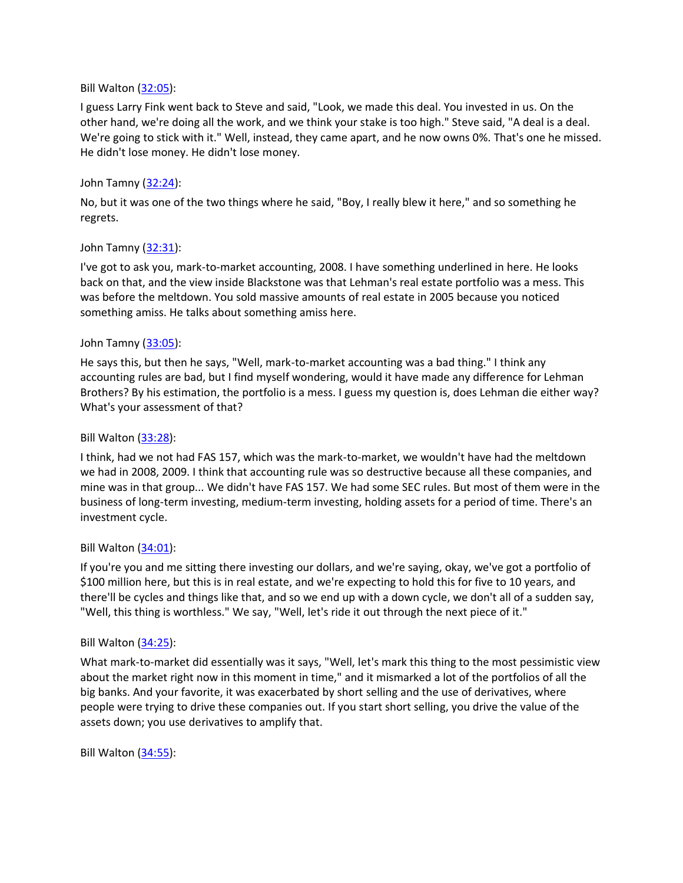### Bill Walton [\(32:05\)](https://www.rev.com/transcript-editor/Edit?token=vNyw_mj4jTfIQcoV6p6UmGZdQG_xKuo3fDj3sm4BDcy8iafv63KhTrvdG6UBDPcN4dWUaSWw_TPgD0jWiZbUI7LG2zY&loadFrom=DocumentDeeplink&ts=1925.03):

I guess Larry Fink went back to Steve and said, "Look, we made this deal. You invested in us. On the other hand, we're doing all the work, and we think your stake is too high." Steve said, "A deal is a deal. We're going to stick with it." Well, instead, they came apart, and he now owns 0%. That's one he missed. He didn't lose money. He didn't lose money.

## John Tamny [\(32:24\)](https://www.rev.com/transcript-editor/Edit?token=A8jNgFYbOB0OUPNBS6HYfMRe6XhCjB7Pyz3QjAIJyIbtzPTKtm5KBx223UbAn8TfkH_eozFUIpguaCEaSURu1RuBUsE&loadFrom=DocumentDeeplink&ts=1944.77):

No, but it was one of the two things where he said, "Boy, I really blew it here," and so something he regrets.

## John Tamny [\(32:31\)](https://www.rev.com/transcript-editor/Edit?token=zQs53KbOQenhVFEX04Griytg3ZPqjw3Odm3CbITCEGGrN4dWWKztpAdDvC_4r5kMIkfgvKGG86HUJiGCn9JG3PhJ2zI&loadFrom=DocumentDeeplink&ts=1951.73):

I've got to ask you, mark-to-market accounting, 2008. I have something underlined in here. He looks back on that, and the view inside Blackstone was that Lehman's real estate portfolio was a mess. This was before the meltdown. You sold massive amounts of real estate in 2005 because you noticed something amiss. He talks about something amiss here.

## John Tamny [\(33:05\)](https://www.rev.com/transcript-editor/Edit?token=IOaG4Tx5eCGtM80H0tcMbTa3oqEEZZR477Otzm6FFrRBoiVA2tudG9CGeFszad_Q4S_SJ38dC5nHi9S0p8Loghv0NAk&loadFrom=DocumentDeeplink&ts=1985.07):

He says this, but then he says, "Well, mark-to-market accounting was a bad thing." I think any accounting rules are bad, but I find myself wondering, would it have made any difference for Lehman Brothers? By his estimation, the portfolio is a mess. I guess my question is, does Lehman die either way? What's your assessment of that?

# Bill Walton [\(33:28\)](https://www.rev.com/transcript-editor/Edit?token=ba_BHnA5nbZ1AW6pep_hrPJ96MQY76FwY8MjTMSPMwCQ3VC7VPIscNh8RxNaQvOTJmpP5tX9OBVpxM1V6D4hOWGJM6E&loadFrom=DocumentDeeplink&ts=2008.41):

I think, had we not had FAS 157, which was the mark-to-market, we wouldn't have had the meltdown we had in 2008, 2009. I think that accounting rule was so destructive because all these companies, and mine was in that group... We didn't have FAS 157. We had some SEC rules. But most of them were in the business of long-term investing, medium-term investing, holding assets for a period of time. There's an investment cycle.

## Bill Walton  $(34:01)$ :

If you're you and me sitting there investing our dollars, and we're saying, okay, we've got a portfolio of \$100 million here, but this is in real estate, and we're expecting to hold this for five to 10 years, and there'll be cycles and things like that, and so we end up with a down cycle, we don't all of a sudden say, "Well, this thing is worthless." We say, "Well, let's ride it out through the next piece of it."

## Bill Walton [\(34:25\)](https://www.rev.com/transcript-editor/Edit?token=hKb3yNHTZ4EXO7PqzOUOIO0yLH509qJUgYv069pDJfgqwxHI8jii5f-pt_8KxSwrJcbNDOKkg8sXkb1z9FjSf_Wips4&loadFrom=DocumentDeeplink&ts=2065.43):

What mark-to-market did essentially was it says, "Well, let's mark this thing to the most pessimistic view about the market right now in this moment in time," and it mismarked a lot of the portfolios of all the big banks. And your favorite, it was exacerbated by short selling and the use of derivatives, where people were trying to drive these companies out. If you start short selling, you drive the value of the assets down; you use derivatives to amplify that.

Bill Walton [\(34:55\)](https://www.rev.com/transcript-editor/Edit?token=zms3Dx4r8K_esb0MLR9Y_KFh97IkIF2vA_smudJWZPFncLpjnlWmdo_cEBQ9CrKfiLWe99XEWa3ZqKhBcA6gdDseV4E&loadFrom=DocumentDeeplink&ts=2095.86):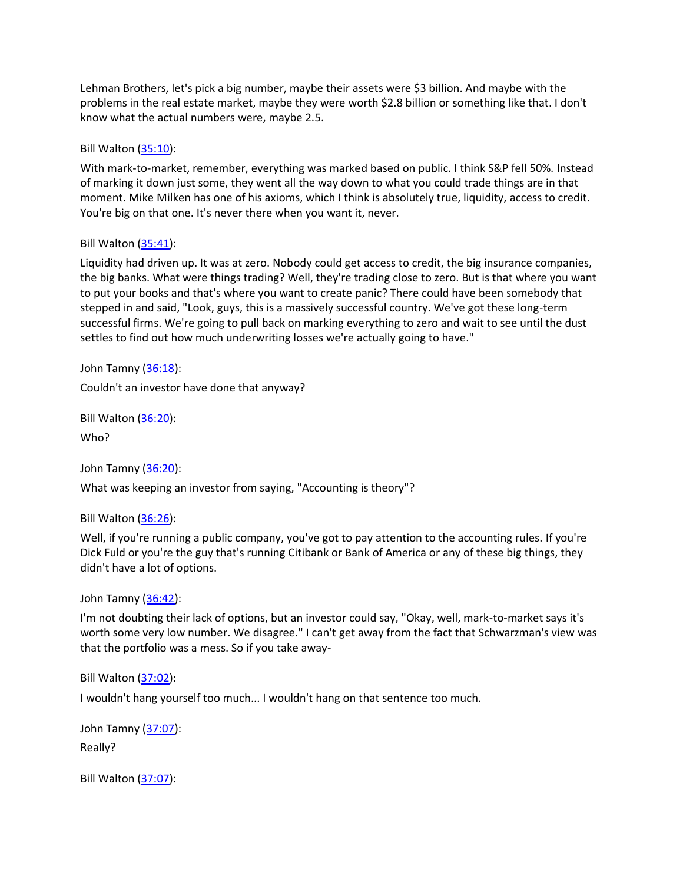Lehman Brothers, let's pick a big number, maybe their assets were \$3 billion. And maybe with the problems in the real estate market, maybe they were worth \$2.8 billion or something like that. I don't know what the actual numbers were, maybe 2.5.

### Bill Walton [\(35:10\)](https://www.rev.com/transcript-editor/Edit?token=cZLa9SlLw1INTUnDZBm8Ge-6YrufqRcAt92jhkMjHFwxiJXrOeqGSStv3Za24AW95pXk0-Ytl7u60YVDYPVho_nKY3Y&loadFrom=DocumentDeeplink&ts=2110.79):

With mark-to-market, remember, everything was marked based on public. I think S&P fell 50%. Instead of marking it down just some, they went all the way down to what you could trade things are in that moment. Mike Milken has one of his axioms, which I think is absolutely true, liquidity, access to credit. You're big on that one. It's never there when you want it, never.

### Bill Walton [\(35:41\)](https://www.rev.com/transcript-editor/Edit?token=XdXcq1nSJbYr4knDRxMJ2lJazi981W6PQziCM8Sm0QZh4DrJV67JBxpXAXPx9jjrhpUVkn4meJscHwHam9twt-yav7Y&loadFrom=DocumentDeeplink&ts=2141.27):

Liquidity had driven up. It was at zero. Nobody could get access to credit, the big insurance companies, the big banks. What were things trading? Well, they're trading close to zero. But is that where you want to put your books and that's where you want to create panic? There could have been somebody that stepped in and said, "Look, guys, this is a massively successful country. We've got these long-term successful firms. We're going to pull back on marking everything to zero and wait to see until the dust settles to find out how much underwriting losses we're actually going to have."

John Tamny [\(36:18\)](https://www.rev.com/transcript-editor/Edit?token=Xjceoqodnfq4Kg_ej7Xd1SrEOaxA6lSrGPKl_-JGdWwRYL29Lf0VQBO1cD5LPiCMoxNd8Un6ZYLh9Bm4aBjSqYA709w&loadFrom=DocumentDeeplink&ts=2178.25): Couldn't an investor have done that anyway?

Bill Walton [\(36:20\)](https://www.rev.com/transcript-editor/Edit?token=eGKz7yijdte0b2LkHEL6v6BgmYOHC8uRsnJ-fbh2_13qIb-QFcNWNd2t-xKk9F5jqr3jssDLsNJMy5HDcLJ0HV7IZh4&loadFrom=DocumentDeeplink&ts=2180.43):

Who?

John Tamny [\(36:20\)](https://www.rev.com/transcript-editor/Edit?token=kUZ_HrpkiC8DHOXK-5x-WKHAJ0-I8UmJHha3MsRmqU1nC2Mqls0K5gujCWZfPiWoQtJb29BKd2-peT7UQte1i2m5Lts&loadFrom=DocumentDeeplink&ts=2180.67):

What was keeping an investor from saying, "Accounting is theory"?

Bill Walton [\(36:26\)](https://www.rev.com/transcript-editor/Edit?token=3DIWp87P5weYtVUJEKRJacmj8wHqKIHvZqCXZaueJXzebM847l6H8FARjJIwQVYTByEkNlRR-4TFc6ts5E7hrdVANXA&loadFrom=DocumentDeeplink&ts=2186.81):

Well, if you're running a public company, you've got to pay attention to the accounting rules. If you're Dick Fuld or you're the guy that's running Citibank or Bank of America or any of these big things, they didn't have a lot of options.

#### John Tamny [\(36:42\)](https://www.rev.com/transcript-editor/Edit?token=qHqnvvNUqRG-oR4n3Vu9D8e9j8MnoSRU-N9HppUchz51RYvhUJX8nXKVV927SZ1LwKBgcZd8cRuPQBVMBT46CAPlB-s&loadFrom=DocumentDeeplink&ts=2202.3):

I'm not doubting their lack of options, but an investor could say, "Okay, well, mark-to-market says it's worth some very low number. We disagree." I can't get away from the fact that Schwarzman's view was that the portfolio was a mess. So if you take away-

## Bill Walton [\(37:02\)](https://www.rev.com/transcript-editor/Edit?token=21XkaNTi3GuG3oDrsgCXvt7m7271g-GDt8Fskz10_qa-PvgbKh1ukYanLDz7PY-D6N6zJMyaT0f4ERVEpR5iExt-T_g&loadFrom=DocumentDeeplink&ts=2222.6):

I wouldn't hang yourself too much... I wouldn't hang on that sentence too much.

John Tamny [\(37:07\)](https://www.rev.com/transcript-editor/Edit?token=U75_wqpsFW8hXE6h2025Rfnto6GRV7CpT1fvs2V5UTvILXShIlohSU5LQD5vCiyytcCmf-HpmmFCi39AFk4i0EkMscs&loadFrom=DocumentDeeplink&ts=2227.3): Really?

Bill Walton [\(37:07\)](https://www.rev.com/transcript-editor/Edit?token=9XJjasf4olVuQAnlRfKQ6AjU7wTuDn-SPlVY7xjG28cyAVGyvz2xGujl_Y3p0iV4x-j_weiINCRYnkEsB1hdnSlQf2c&loadFrom=DocumentDeeplink&ts=2227.69):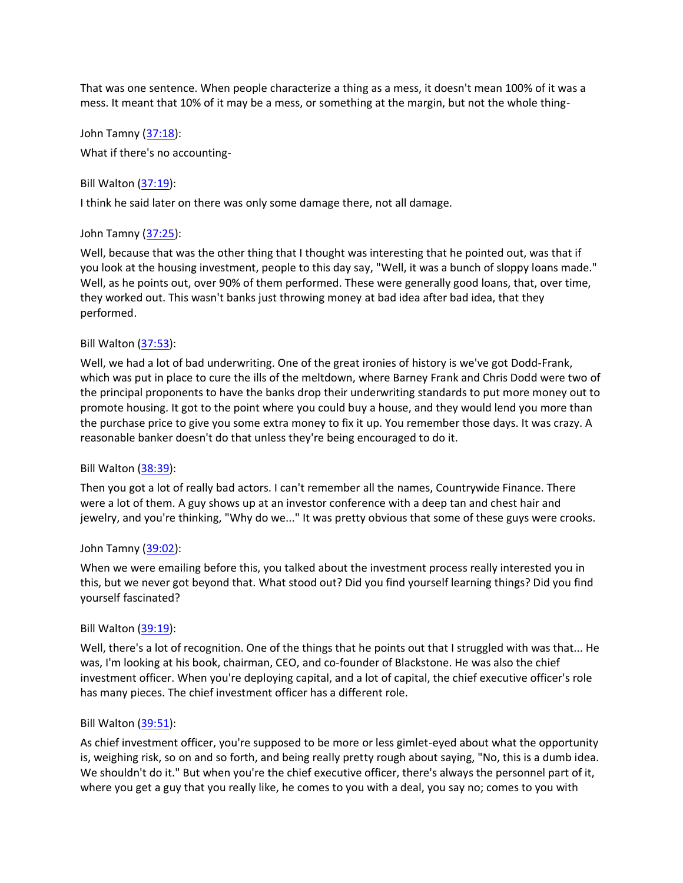That was one sentence. When people characterize a thing as a mess, it doesn't mean 100% of it was a mess. It meant that 10% of it may be a mess, or something at the margin, but not the whole thing-

John Tamny [\(37:18\)](https://www.rev.com/transcript-editor/Edit?token=mGKK0ku3etemooRMUKnWhGDzBWBtbYT906xr5cfDL_08Ek-e_fUtXULkAn90_7HoFVdpJYBiWv7ER41fJEMWPFMoEgY&loadFrom=DocumentDeeplink&ts=2238.09): What if there's no accounting-

Bill Walton [\(37:19\)](https://www.rev.com/transcript-editor/Edit?token=WKzliEQzfHKEeALuHRaeK_TZTzzP6z2K152vmfGVZihLTFbNipY1lrhQDBqTzwg5gOIPEjiVSFWT0_qYxEVvOLAdjTg&loadFrom=DocumentDeeplink&ts=2239.43):

I think he said later on there was only some damage there, not all damage.

### John Tamny [\(37:25\)](https://www.rev.com/transcript-editor/Edit?token=_YNf_A721rRcV3x8Ye12IaN71FCm-kniKqstl2nv0_NVwPLe2Gn_ld9QXKTfGV8jx0mz_dVelutEehkeFc6VftEFFWc&loadFrom=DocumentDeeplink&ts=2245.17):

Well, because that was the other thing that I thought was interesting that he pointed out, was that if you look at the housing investment, people to this day say, "Well, it was a bunch of sloppy loans made." Well, as he points out, over 90% of them performed. These were generally good loans, that, over time, they worked out. This wasn't banks just throwing money at bad idea after bad idea, that they performed.

### Bill Walton [\(37:53\)](https://www.rev.com/transcript-editor/Edit?token=U817mx3AIoR_xqfjwRw4wBUNTSj4k3YWdGYKTgyRK2B9M3o1jjTmtBvm0WC56gG_Oi6o8rS5Aqsz2sX2RMEAFWTr0mw&loadFrom=DocumentDeeplink&ts=2273.42):

Well, we had a lot of bad underwriting. One of the great ironies of history is we've got Dodd-Frank, which was put in place to cure the ills of the meltdown, where Barney Frank and Chris Dodd were two of the principal proponents to have the banks drop their underwriting standards to put more money out to promote housing. It got to the point where you could buy a house, and they would lend you more than the purchase price to give you some extra money to fix it up. You remember those days. It was crazy. A reasonable banker doesn't do that unless they're being encouraged to do it.

#### Bill Walton [\(38:39\)](https://www.rev.com/transcript-editor/Edit?token=ppDf6nO2ccoYrFVzWHzyOjSPhpq2Exi6MbLyKB4ax7wOtQzlfS1lBtT6AMr2WyidlN4rJU4u73_2AqC8lstVNvdD5_0&loadFrom=DocumentDeeplink&ts=2319.47):

Then you got a lot of really bad actors. I can't remember all the names, Countrywide Finance. There were a lot of them. A guy shows up at an investor conference with a deep tan and chest hair and jewelry, and you're thinking, "Why do we..." It was pretty obvious that some of these guys were crooks.

#### John Tamny [\(39:02\)](https://www.rev.com/transcript-editor/Edit?token=SVGSJEuUjOhIYxp3Zy7kZFdpOcZGKGgfzVa5MCXHzI7lnJRauJGY-IMC7rbIuMaOOGd1FVAtQmAfvhv20Um2j7fIaMk&loadFrom=DocumentDeeplink&ts=2342.37):

When we were emailing before this, you talked about the investment process really interested you in this, but we never got beyond that. What stood out? Did you find yourself learning things? Did you find yourself fascinated?

#### Bill Walton [\(39:19\)](https://www.rev.com/transcript-editor/Edit?token=nzFM_EqwStU1Hm_SYMuAIx1uK_obHQPl_f4Hc0kAdf2b-aj5Taz-nxYpTE__ymLURCjgu6BhiOh4iLIY0kR7tjHRTT0&loadFrom=DocumentDeeplink&ts=2359.49):

Well, there's a lot of recognition. One of the things that he points out that I struggled with was that... He was, I'm looking at his book, chairman, CEO, and co-founder of Blackstone. He was also the chief investment officer. When you're deploying capital, and a lot of capital, the chief executive officer's role has many pieces. The chief investment officer has a different role.

#### Bill Walton [\(39:51\)](https://www.rev.com/transcript-editor/Edit?token=DuYlu_EjqNqBd6h7SknCVxbeo8-vUGJv68LZmQcSaqzhNZU2niLUXGzt-sgpr4wb7_wAOoKg-pqmi2ZMZxN5JxAEfTc&loadFrom=DocumentDeeplink&ts=2391.5):

As chief investment officer, you're supposed to be more or less gimlet-eyed about what the opportunity is, weighing risk, so on and so forth, and being really pretty rough about saying, "No, this is a dumb idea. We shouldn't do it." But when you're the chief executive officer, there's always the personnel part of it, where you get a guy that you really like, he comes to you with a deal, you say no; comes to you with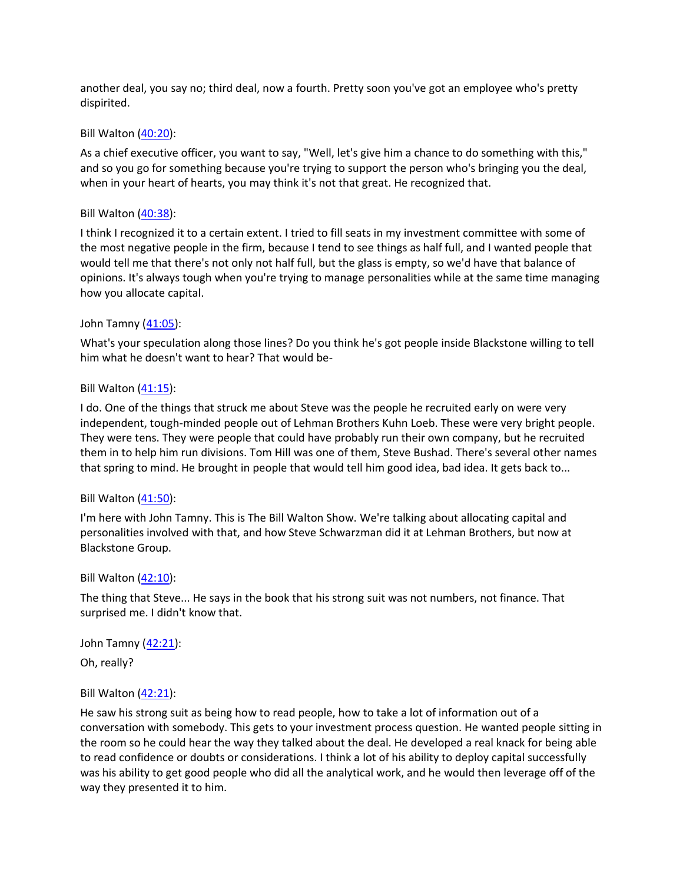another deal, you say no; third deal, now a fourth. Pretty soon you've got an employee who's pretty dispirited.

### Bill Walton [\(40:20\)](https://www.rev.com/transcript-editor/Edit?token=Kyz5vibsz2lhgacGyoeJcQUI7dMFmD1RKRg0_5KQsvoKdXt8CqW6QlRzFnId2jThFUUs2X2lJC0f3qh1y9l6HRDzLZk&loadFrom=DocumentDeeplink&ts=2420.74):

As a chief executive officer, you want to say, "Well, let's give him a chance to do something with this," and so you go for something because you're trying to support the person who's bringing you the deal, when in your heart of hearts, you may think it's not that great. He recognized that.

### Bill Walton [\(40:38\)](https://www.rev.com/transcript-editor/Edit?token=8axmPX_EV8xlg_xEEEDE7Z8wS4BD5g6O72yYcNICJNGPOrevySYF8kR4QgkXr2pOK30qWgTQCVYwxchmIV6EwuWm7Hk&loadFrom=DocumentDeeplink&ts=2438.13):

I think I recognized it to a certain extent. I tried to fill seats in my investment committee with some of the most negative people in the firm, because I tend to see things as half full, and I wanted people that would tell me that there's not only not half full, but the glass is empty, so we'd have that balance of opinions. It's always tough when you're trying to manage personalities while at the same time managing how you allocate capital.

## John Tamny [\(41:05\)](https://www.rev.com/transcript-editor/Edit?token=lhVt85-CUxJ8UUH6qpeXNgwGKNX3zj4F3cee0yQV-7pD6537mQVSGRTwC2EYpVccMwXE2cwn5ea6RjWYheZ8m1u6UwM&loadFrom=DocumentDeeplink&ts=2465.6):

What's your speculation along those lines? Do you think he's got people inside Blackstone willing to tell him what he doesn't want to hear? That would be-

### Bill Walton [\(41:15\)](https://www.rev.com/transcript-editor/Edit?token=fuMd11Pkxq6qM3-rZdqAxSdXlLqwQg8CJL0nQV2B8idSFamit4FfiRTfl6wrBaSRDLVz3SrhmXFssjH0krGPZRx4SY8&loadFrom=DocumentDeeplink&ts=2475.95):

I do. One of the things that struck me about Steve was the people he recruited early on were very independent, tough-minded people out of Lehman Brothers Kuhn Loeb. These were very bright people. They were tens. They were people that could have probably run their own company, but he recruited them in to help him run divisions. Tom Hill was one of them, Steve Bushad. There's several other names that spring to mind. He brought in people that would tell him good idea, bad idea. It gets back to...

## Bill Walton [\(41:50\)](https://www.rev.com/transcript-editor/Edit?token=zbsWomDmtkfMx063hI05aG7swRsRbFkH84hrk8k2BGB5ar1dtMOF3g0istzoHem9jSyF7HFrSOgZYKjscrTDd3zF59A&loadFrom=DocumentDeeplink&ts=2510.05):

I'm here with John Tamny. This is The Bill Walton Show. We're talking about allocating capital and personalities involved with that, and how Steve Schwarzman did it at Lehman Brothers, but now at Blackstone Group.

#### Bill Walton [\(42:10\)](https://www.rev.com/transcript-editor/Edit?token=4ug5RJEbHIidYWrK8d9zXirPLGypAx_HAIseyWkYt0MNzesuo-5HZs7joJRUn1eFKeIY8UZ2r_7rEq5I16h8b3SJPJs&loadFrom=DocumentDeeplink&ts=2530.15):

The thing that Steve... He says in the book that his strong suit was not numbers, not finance. That surprised me. I didn't know that.

John Tamny [\(42:21\)](https://www.rev.com/transcript-editor/Edit?token=tpGPTYTI1e5_dwVFp_0-FI6MT1WI9kvKWZ5ZQLR3LBNoSu619XzK7C2UgbWHHzcJlYFmqRu0I_UPTbZXA9Jk6yMbJpQ&loadFrom=DocumentDeeplink&ts=2541.54):

Oh, really?

## Bill Walton  $(42:21)$ :

He saw his strong suit as being how to read people, how to take a lot of information out of a conversation with somebody. This gets to your investment process question. He wanted people sitting in the room so he could hear the way they talked about the deal. He developed a real knack for being able to read confidence or doubts or considerations. I think a lot of his ability to deploy capital successfully was his ability to get good people who did all the analytical work, and he would then leverage off of the way they presented it to him.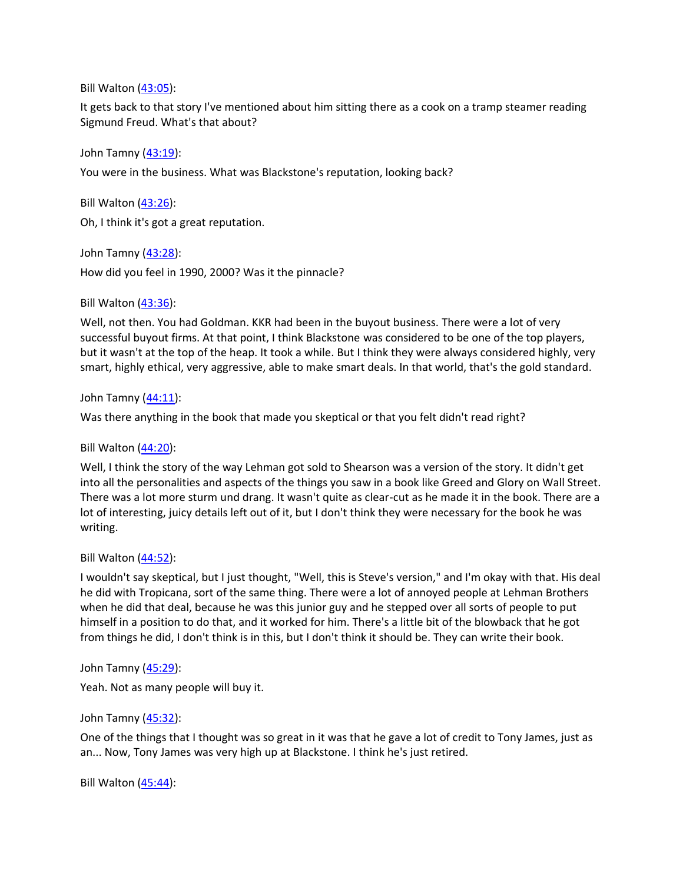Bill Walton [\(43:05\)](https://www.rev.com/transcript-editor/Edit?token=NT-RvLXatHANP0L5SIs5RGe0nyZqWUIJOUsIbvfQWC1OCMOdrXiE7dGaeHL2qx9gbxOx5I05SXaqM_lZEk6bFMxE8CA&loadFrom=DocumentDeeplink&ts=2585.31):

It gets back to that story I've mentioned about him sitting there as a cook on a tramp steamer reading Sigmund Freud. What's that about?

John Tamny [\(43:19\)](https://www.rev.com/transcript-editor/Edit?token=VS6oIFBfqVvcooRClbZM5rMMCMK2M2Wb0XHOA2Tpz-ZOmT-yHtxzl-W5fZDsLSBs4QtjZUZLuo24C3BHVOijGNWScBU&loadFrom=DocumentDeeplink&ts=2599.87):

You were in the business. What was Blackstone's reputation, looking back?

Bill Walton [\(43:26\)](https://www.rev.com/transcript-editor/Edit?token=zpLNbZ89Oah9h439GWTFmZpBdyP59DUbI7k7eAi0-iuKxYeG_rhiUZtoKULsinKcE3BkvtgCEfE6Ogd52BKUf4FLuhc&loadFrom=DocumentDeeplink&ts=2606.45):

Oh, I think it's got a great reputation.

John Tamny [\(43:28\)](https://www.rev.com/transcript-editor/Edit?token=bjAhMhm7qyQmu6_HAEGu0gWvZGZzCXiBxJLtP6XyJIZzuL5HDuj6QGD-bLiZRflwggS5MG6P3Eq3LdMTmFTfiogL2TE&loadFrom=DocumentDeeplink&ts=2608.79): How did you feel in 1990, 2000? Was it the pinnacle?

Bill Walton [\(43:36\)](https://www.rev.com/transcript-editor/Edit?token=GIw2ARUdEigGp0JeJTVh92FjAMLwcn9g-H7QFtrFWgwZmmDepgZb0BKOGuC7YRuIqiOqqWPfp4R83LOT7Kza20jJy_0&loadFrom=DocumentDeeplink&ts=2616.97):

Well, not then. You had Goldman. KKR had been in the buyout business. There were a lot of very successful buyout firms. At that point, I think Blackstone was considered to be one of the top players, but it wasn't at the top of the heap. It took a while. But I think they were always considered highly, very smart, highly ethical, very aggressive, able to make smart deals. In that world, that's the gold standard.

John Tamny  $(44:11)$ :

Was there anything in the book that made you skeptical or that you felt didn't read right?

Bill Walton [\(44:20\)](https://www.rev.com/transcript-editor/Edit?token=uESeksIRF_dS_-CTpDAXtPTZa6EkJL7WYmKc4vNZtPFN5VdVKIwv5hySoH1bhDcIJF94bB3eMpiTs_KMxJ7x-h0Opws&loadFrom=DocumentDeeplink&ts=2660.26):

Well, I think the story of the way Lehman got sold to Shearson was a version of the story. It didn't get into all the personalities and aspects of the things you saw in a book like Greed and Glory on Wall Street. There was a lot more sturm und drang. It wasn't quite as clear-cut as he made it in the book. There are a lot of interesting, juicy details left out of it, but I don't think they were necessary for the book he was writing.

Bill Walton [\(44:52\)](https://www.rev.com/transcript-editor/Edit?token=TiVuaaeaipoGWlESlLsPTF2OImLEx-3Ma6bQFc-7wx7B8bVVd3WqOgass22eQU0nN7XEIPGsFGL4aykofy2HXkAIDCk&loadFrom=DocumentDeeplink&ts=2692.81):

I wouldn't say skeptical, but I just thought, "Well, this is Steve's version," and I'm okay with that. His deal he did with Tropicana, sort of the same thing. There were a lot of annoyed people at Lehman Brothers when he did that deal, because he was this junior guy and he stepped over all sorts of people to put himself in a position to do that, and it worked for him. There's a little bit of the blowback that he got from things he did, I don't think is in this, but I don't think it should be. They can write their book.

John Tamny [\(45:29\)](https://www.rev.com/transcript-editor/Edit?token=dcAiZ2gcXrkbNQyBlQ4-QW4c4dZk3pv_tvypU64QPCjIHcVc0qcDK6fqNj5H0xabn28MhI8bpTtkoBX2_kivRWJkSQs&loadFrom=DocumentDeeplink&ts=2729.07):

Yeah. Not as many people will buy it.

John Tamny [\(45:32\)](https://www.rev.com/transcript-editor/Edit?token=-jZxPHiKa-VIPt9WVtDs9eCeJEtuZNjzZ0_W4v2lxWPqWPqmwTSaaaNBOeYp2tdxnycMWIgoBLkwskLXJn16WoIer_E&loadFrom=DocumentDeeplink&ts=2732.97):

One of the things that I thought was so great in it was that he gave a lot of credit to Tony James, just as an... Now, Tony James was very high up at Blackstone. I think he's just retired.

Bill Walton  $(45:44)$ :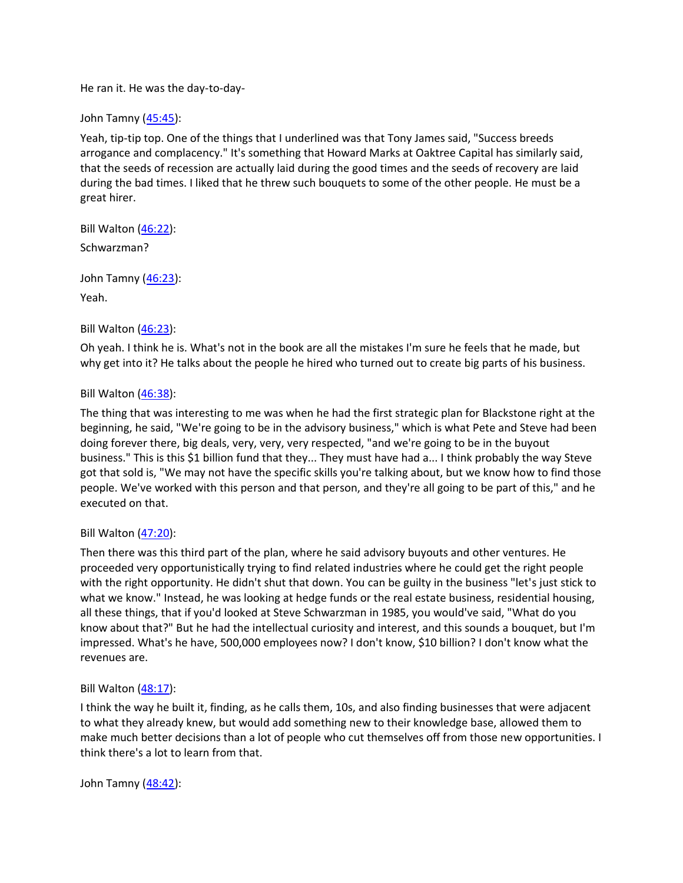He ran it. He was the day-to-day-

John Tamny [\(45:45\)](https://www.rev.com/transcript-editor/Edit?token=MioWZk5QX7PaiEbthDvwoGcSg6Bc6_VF6wRNIombJKXmLpZd9NwP7CscqeTL63JJSFyfMmuhv1JTKFuW-J0jNvWKM2E&loadFrom=DocumentDeeplink&ts=2745.39):

Yeah, tip-tip top. One of the things that I underlined was that Tony James said, "Success breeds arrogance and complacency." It's something that Howard Marks at Oaktree Capital has similarly said, that the seeds of recession are actually laid during the good times and the seeds of recovery are laid during the bad times. I liked that he threw such bouquets to some of the other people. He must be a great hirer.

Bill Walton [\(46:22\)](https://www.rev.com/transcript-editor/Edit?token=QH-WSCE8lOOkWYV4LffMDXPeknHnZ745O6TLpSBPhA6CaCbmHYCm3U1eux5J3CZpb9Pf0RVnoViti1e7rDXQLNONECY&loadFrom=DocumentDeeplink&ts=2782.51):

Schwarzman?

John Tamny [\(46:23\)](https://www.rev.com/transcript-editor/Edit?token=mFY1W_hJfbf65tyiV5ZbBUcipM1hhwEQFW8smTLmkj7ivdc4UMTRiZOKlRscFdJIh5R-Wi_AkrlG7MrALq7lNyf7y3s&loadFrom=DocumentDeeplink&ts=2783.06): Yeah.

## Bill Walton [\(46:23\)](https://www.rev.com/transcript-editor/Edit?token=PvDb4_wL3krqAHvFSDKsQarW27PBylXpMn-9sBVdMLGJUiQhPswtsMSxB6p-KWxh0IRG2knhtKll3ipuMueUGxVR6g0&loadFrom=DocumentDeeplink&ts=2783.93):

Oh yeah. I think he is. What's not in the book are all the mistakes I'm sure he feels that he made, but why get into it? He talks about the people he hired who turned out to create big parts of his business.

# Bill Walton [\(46:38\)](https://www.rev.com/transcript-editor/Edit?token=HDwnmoTiUmR05f-AM6WB5os1tQXSmDTXnkpxeuTt8mGeIR192RIy_7Ft1zl0O3v_AtRxff-l7jIxNjQurqihEIWs7Z8&loadFrom=DocumentDeeplink&ts=2798.64):

The thing that was interesting to me was when he had the first strategic plan for Blackstone right at the beginning, he said, "We're going to be in the advisory business," which is what Pete and Steve had been doing forever there, big deals, very, very, very respected, "and we're going to be in the buyout business." This is this \$1 billion fund that they... They must have had a... I think probably the way Steve got that sold is, "We may not have the specific skills you're talking about, but we know how to find those people. We've worked with this person and that person, and they're all going to be part of this," and he executed on that.

## Bill Walton [\(47:20\)](https://www.rev.com/transcript-editor/Edit?token=qI5qvWtoJsGx4lU2ls6Nz6qAdNkA370s-Z2I9ZX0s2H8ups59Gsm8RKl_O6Umoee95pzwScLY7NBk9RK-6UXo5fUcdQ&loadFrom=DocumentDeeplink&ts=2840.35):

Then there was this third part of the plan, where he said advisory buyouts and other ventures. He proceeded very opportunistically trying to find related industries where he could get the right people with the right opportunity. He didn't shut that down. You can be guilty in the business "let's just stick to what we know." Instead, he was looking at hedge funds or the real estate business, residential housing, all these things, that if you'd looked at Steve Schwarzman in 1985, you would've said, "What do you know about that?" But he had the intellectual curiosity and interest, and this sounds a bouquet, but I'm impressed. What's he have, 500,000 employees now? I don't know, \$10 billion? I don't know what the revenues are.

## Bill Walton [\(48:17\)](https://www.rev.com/transcript-editor/Edit?token=sPjujVjWG2fK3kzb04hdazuhYATP3PyiKbNm7UrHnXOL1QoBMBeY5MU0PIG0mY-dGyDb_9qs0CP1vL1yVTvsuQVW_Uc&loadFrom=DocumentDeeplink&ts=2897.4):

I think the way he built it, finding, as he calls them, 10s, and also finding businesses that were adjacent to what they already knew, but would add something new to their knowledge base, allowed them to make much better decisions than a lot of people who cut themselves off from those new opportunities. I think there's a lot to learn from that.

John Tamny [\(48:42\)](https://www.rev.com/transcript-editor/Edit?token=88g8b5Sq85I8trjG8wFxiv-u58kfgHP6ph79urhpqUUbCb19VZwrO9HX9n89vBP6I0otHlM88jRq7NLf3m7NdYah_r0&loadFrom=DocumentDeeplink&ts=2922.86):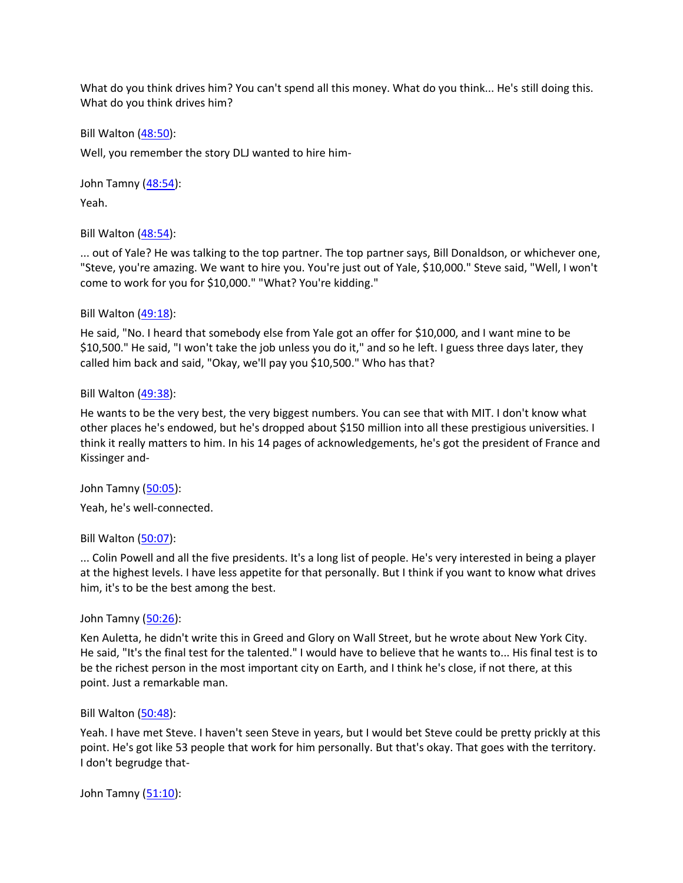What do you think drives him? You can't spend all this money. What do you think... He's still doing this. What do you think drives him?

Bill Walton [\(48:50\)](https://www.rev.com/transcript-editor/Edit?token=Rd07fK0iXu6zkh2DDYEfJr95E2sMESf3yWKd2O7E2Kysw-1Vs9va8zyO7pc_1ndFj_7Np-JF9GmtE5XZHsfU8_du69o&loadFrom=DocumentDeeplink&ts=2930.85):

Well, you remember the story DLJ wanted to hire him-

John Tamny [\(48:54\)](https://www.rev.com/transcript-editor/Edit?token=pXyuHGiZK4CGc4MFOizYN0SRsTcaQww5Iv6Zqn-AYElIowjRj_v5vy2-jm6dUa77jGOQmEW2G5e37oa7XpPeSmwdiY0&loadFrom=DocumentDeeplink&ts=2934.09):

Yeah.

Bill Walton [\(48:54\)](https://www.rev.com/transcript-editor/Edit?token=6r0Yf4FUy6PZgNB46vj8nHYE5_0DpRND85jWoan9C9lxpr2-C5W3iYXDaoJ_eO8WzaMU34VGSD5V0FtpJiJ0oiLljK4&loadFrom=DocumentDeeplink&ts=2934.53):

... out of Yale? He was talking to the top partner. The top partner says, Bill Donaldson, or whichever one, "Steve, you're amazing. We want to hire you. You're just out of Yale, \$10,000." Steve said, "Well, I won't come to work for you for \$10,000." "What? You're kidding."

### Bill Walton [\(49:18\)](https://www.rev.com/transcript-editor/Edit?token=AMJN0s7kKfH5AvFtRDbKZDwV-5NhlRtNKVhkvJf6d5jU_XI_SzEiDr0aqeUHaRF9g4bLkydRZc3rrCExXy_QwmYV5Aw&loadFrom=DocumentDeeplink&ts=2958.05):

He said, "No. I heard that somebody else from Yale got an offer for \$10,000, and I want mine to be \$10,500." He said, "I won't take the job unless you do it," and so he left. I guess three days later, they called him back and said, "Okay, we'll pay you \$10,500." Who has that?

### Bill Walton [\(49:38\)](https://www.rev.com/transcript-editor/Edit?token=GFdUXJnxAeAjPD4QmEadIthVrr20rihApOcihGv6mb7QS0KaBOM_0CXDvEXNLs-QYzCwLDK9WVgDDh3LIf0FcAOObTw&loadFrom=DocumentDeeplink&ts=2978.59):

He wants to be the very best, the very biggest numbers. You can see that with MIT. I don't know what other places he's endowed, but he's dropped about \$150 million into all these prestigious universities. I think it really matters to him. In his 14 pages of acknowledgements, he's got the president of France and Kissinger and-

John Tamny [\(50:05\)](https://www.rev.com/transcript-editor/Edit?token=rlg0YfCP3nidmkSqKQac5PqEsb6irKi3SRHnl4uBsAeXM67mbKimFlhXPblND2oDRAz1SHgpe1YKLMOw_ZcEBvcG78s&loadFrom=DocumentDeeplink&ts=3005.32):

Yeah, he's well-connected.

## Bill Walton [\(50:07\)](https://www.rev.com/transcript-editor/Edit?token=viV0TIZGyrI_sERDtk-X2PqAzKdqy14VqfdPuSBmji8ZkI4lErcq7N-igrygjV-gN2QbZbJPCVKmjPJTYrdQtZcYqWY&loadFrom=DocumentDeeplink&ts=3007):

... Colin Powell and all the five presidents. It's a long list of people. He's very interested in being a player at the highest levels. I have less appetite for that personally. But I think if you want to know what drives him, it's to be the best among the best.

#### John Tamny [\(50:26\)](https://www.rev.com/transcript-editor/Edit?token=xW9daVRubNWEG_oKSkizw4seR14H1w-FGbatb5AbAP1luuqtLgEgLkrWBTHGUUUOLb5PrJxCmuru-k3VlAaPU38Cy5g&loadFrom=DocumentDeeplink&ts=3026.97):

Ken Auletta, he didn't write this in Greed and Glory on Wall Street, but he wrote about New York City. He said, "It's the final test for the talented." I would have to believe that he wants to... His final test is to be the richest person in the most important city on Earth, and I think he's close, if not there, at this point. Just a remarkable man.

#### Bill Walton [\(50:48\)](https://www.rev.com/transcript-editor/Edit?token=7ogGIXJrpo1ecKl4_DvCzajQQiinm1R7qHNM2v6el4DGM0UmuZnb_yx7CeT0jzB05JM90ejZKQA6f42ilHxeiA9D3tM&loadFrom=DocumentDeeplink&ts=3048.91):

Yeah. I have met Steve. I haven't seen Steve in years, but I would bet Steve could be pretty prickly at this point. He's got like 53 people that work for him personally. But that's okay. That goes with the territory. I don't begrudge that-

John Tamny [\(51:10\)](https://www.rev.com/transcript-editor/Edit?token=K_hgsRGHo7HvuwmDYxfK6Qsth88AiutNdEBDrGMwWJQXVPVYCWV8eIxZEGbt-M-5B72qidDmq_VJwW5g3fZMys6pG4k&loadFrom=DocumentDeeplink&ts=3070.02):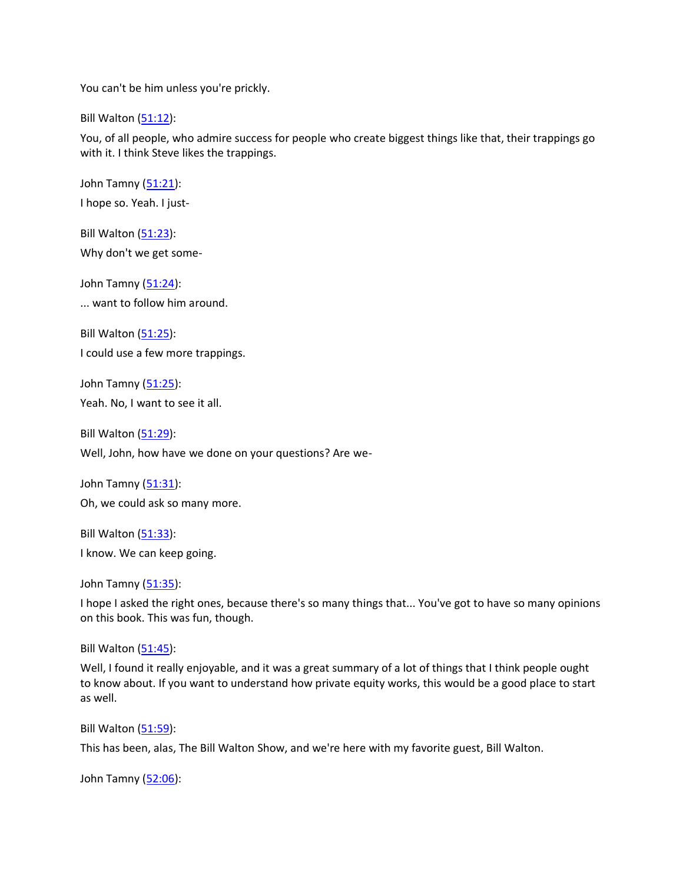You can't be him unless you're prickly.

Bill Walton [\(51:12\)](https://www.rev.com/transcript-editor/Edit?token=pAAOh90ZxHVgLQckFEeJwZ5nxJWGimFsGVgi7cywvqlCdYxxbbxKP49L2jwtRxbPbVn-oP4M0vDL97-0QMclrNcIYQY&loadFrom=DocumentDeeplink&ts=3072.25):

You, of all people, who admire success for people who create biggest things like that, their trappings go with it. I think Steve likes the trappings.

John Tamny [\(51:21\)](https://www.rev.com/transcript-editor/Edit?token=_F7iq1Dte2aCfVPs0EMyWdWXZAaASOVC1AU7Z6Q-H70I1bz7XThnC7N5wE5U-0YUX3uShfpwwek_jCWKoJ84l3nyYVc&loadFrom=DocumentDeeplink&ts=3081.2): I hope so. Yeah. I just-

Bill Walton [\(51:23\)](https://www.rev.com/transcript-editor/Edit?token=WeUh8nHDpJMRw8FMbfY2hNId9QTSdS9aaeapiCKew3ApKsY-T7H5fqIsAZi-HpLaPDt3g4ss7KbuuzYwQ_Z7sOLXR-g&loadFrom=DocumentDeeplink&ts=3083.05): Why don't we get some-

John Tamny [\(51:24\)](https://www.rev.com/transcript-editor/Edit?token=a-FEXvh0YeZZwzL0okuToT2Ndul6FI0hbPBC_4-L_5ENV3gbZnfmcXEp9-80wcaZ55-v0nD4RctLj0e3gRHt2gomHW0&loadFrom=DocumentDeeplink&ts=3084.21): ... want to follow him around.

Bill Walton [\(51:25\)](https://www.rev.com/transcript-editor/Edit?token=Vk5dRwJHhqDsRePaaY5ZH-FG_MZZjrInnJ9xo6-JjXu3Hlk9UfvV1hXKOoTLuVLoKCRitb_dJoacwz-tADKBViUGelo&loadFrom=DocumentDeeplink&ts=3085.1): I could use a few more trappings.

John Tamny [\(51:25\)](https://www.rev.com/transcript-editor/Edit?token=_n3nk7HUIavs-fG6GRwFLxgWeGcmGunDQJ1aWi25pFa1KZub51n9niLH9Rh_MY9qBWWUhIFTrZA2RZ5HqndzkRxei90&loadFrom=DocumentDeeplink&ts=3085.76): Yeah. No, I want to see it all.

Bill Walton [\(51:29\)](https://www.rev.com/transcript-editor/Edit?token=Xq9eE-ZM7kvpmtz-c6kbqEvIloT8AOSZDwRixX4oh6N7zD9pgk_m7Z0VEt11kcIiBWqfFaiMNW5EyNwBpqIMGjh3sC0&loadFrom=DocumentDeeplink&ts=3089.47): Well, John, how have we done on your questions? Are we-

John Tamny [\(51:31\)](https://www.rev.com/transcript-editor/Edit?token=diKjv98VaL6S2nQO46RpGpOcZIW_vlwJLzN28ZjvNgnkx2hcu76U4uNm5E8QSegzcRk4b8EQGUyVz52ZBTYGMPMpAYg&loadFrom=DocumentDeeplink&ts=3091.97): Oh, we could ask so many more.

Bill Walton [\(51:33\)](https://www.rev.com/transcript-editor/Edit?token=EuY0k-qCXMzipsUlmTz9XKPCfGYOSuHPgM0cgC4q9WzJqFgLigwUgywVHCNU_3uPeFNd87jScZxmrsGIraQZmhYqIwY&loadFrom=DocumentDeeplink&ts=3093.07): I know. We can keep going.

John Tamny [\(51:35\)](https://www.rev.com/transcript-editor/Edit?token=xcWVXS6K2QtYgryhSBpkYd-ZoyxDq1CThYB-OK2g_CPDimJE0F6fqyN0UblY-oiIUdMgUEBhVvYRMa_Nigl_-Yn1Ir4&loadFrom=DocumentDeeplink&ts=3095.92):

I hope I asked the right ones, because there's so many things that... You've got to have so many opinions on this book. This was fun, though.

Bill Walton  $(51:45)$ :

Well, I found it really enjoyable, and it was a great summary of a lot of things that I think people ought to know about. If you want to understand how private equity works, this would be a good place to start as well.

Bill Walton [\(51:59\)](https://www.rev.com/transcript-editor/Edit?token=rrFX2i2FxCo9wOGYZoOPx9cFOyoZBSpLCQaHbQJ8GBpROnImJt-X1vVEpAT9F8GZFu4RKaLEn1EChl55KwcG3_XKihE&loadFrom=DocumentDeeplink&ts=3119.35):

This has been, alas, The Bill Walton Show, and we're here with my favorite guest, Bill Walton.

John Tamny [\(52:06\)](https://www.rev.com/transcript-editor/Edit?token=4LlkuInNq04TFEJ_8scpFF9TDe-clqmtUciMhcU4frT0olOkWa5wTFGKPjnX3nY3cY4EWT7Jy3EgOpiq5xtNkErs_xc&loadFrom=DocumentDeeplink&ts=3126.56):